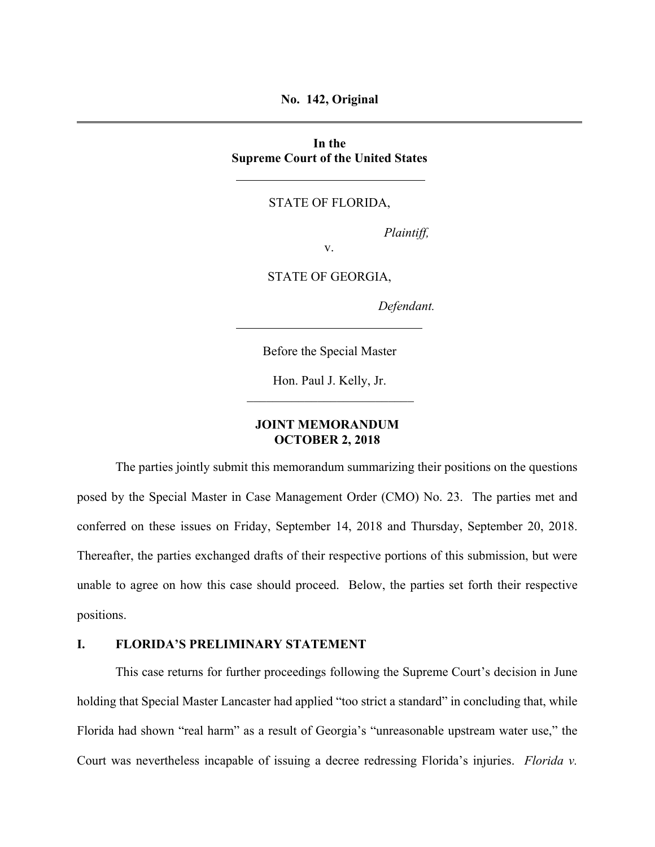**No. 142, Original** 

**In the Supreme Court of the United States** 

### STATE OF FLORIDA,

*Plaintiff,* 

v.

STATE OF GEORGIA,

*Defendant.* 

Before the Special Master

Hon. Paul J. Kelly, Jr.

### **JOINT MEMORANDUM OCTOBER 2, 2018**

The parties jointly submit this memorandum summarizing their positions on the questions posed by the Special Master in Case Management Order (CMO) No. 23. The parties met and conferred on these issues on Friday, September 14, 2018 and Thursday, September 20, 2018. Thereafter, the parties exchanged drafts of their respective portions of this submission, but were unable to agree on how this case should proceed. Below, the parties set forth their respective positions.

#### **I. FLORIDA'S PRELIMINARY STATEMENT**

This case returns for further proceedings following the Supreme Court's decision in June holding that Special Master Lancaster had applied "too strict a standard" in concluding that, while Florida had shown "real harm" as a result of Georgia's "unreasonable upstream water use," the Court was nevertheless incapable of issuing a decree redressing Florida's injuries. *Florida v.*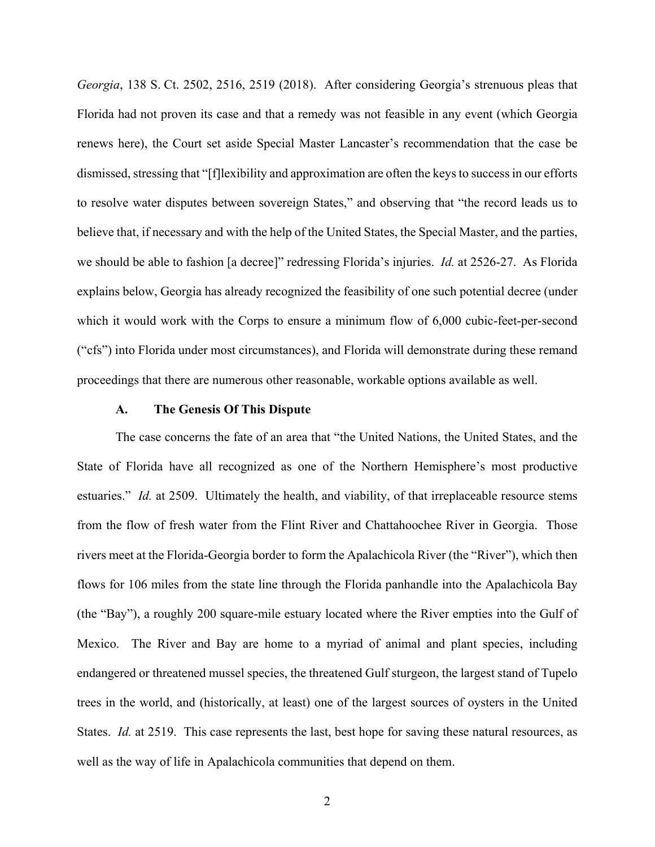*Georgia*, 138 S. Ct. 2502, 2516, 2519 (2018). After considering Georgia's strenuous pleas that Florida had not proven its case and that a remedy was not feasible in any event (which Georgia renews here), the Court set aside Special Master Lancaster's recommendation that the case be dismissed, stressing that "[f]lexibility and approximation are often the keys to success in our efforts to resolve water disputes between sovereign States," and observing that "the record leads us to believe that, if necessary and with the help of the United States, the Special Master, and the parties, we should be able to fashion [a decree]" redressing Florida's injuries. *Id.* at 2526-27. As Florida explains below, Georgia has already recognized the feasibility of one such potential decree (under which it would work with the Corps to ensure a minimum flow of 6,000 cubic-feet-per-second ("cfs") into Florida under most circumstances), and Florida will demonstrate during these remand proceedings that there are numerous other reasonable, workable options available as well.

#### **A. The Genesis Of This Dispute**

The case concerns the fate of an area that "the United Nations, the United States, and the State of Florida have all recognized as one of the Northern Hemisphere's most productive estuaries." *Id.* at 2509. Ultimately the health, and viability, of that irreplaceable resource stems from the flow of fresh water from the Flint River and Chattahoochee River in Georgia. Those rivers meet at the Florida-Georgia border to form the Apalachicola River (the "River"), which then flows for 106 miles from the state line through the Florida panhandle into the Apalachicola Bay (the "Bay"), a roughly 200 square-mile estuary located where the River empties into the Gulf of Mexico. The River and Bay are home to a myriad of animal and plant species, including endangered or threatened mussel species, the threatened Gulf sturgeon, the largest stand of Tupelo trees in the world, and (historically, at least) one of the largest sources of oysters in the United States. *Id.* at 2519. This case represents the last, best hope for saving these natural resources, as well as the way of life in Apalachicola communities that depend on them.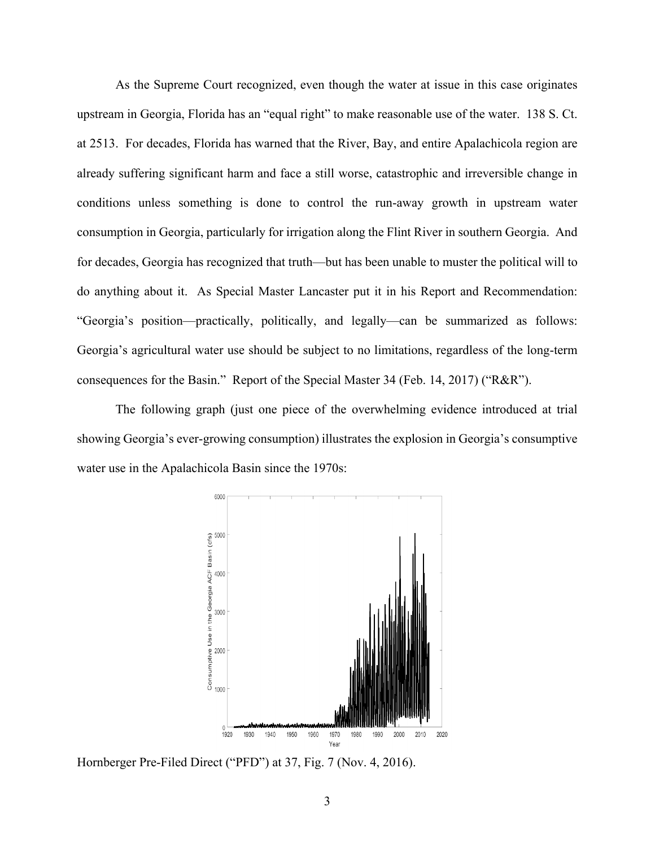As the Supreme Court recognized, even though the water at issue in this case originates upstream in Georgia, Florida has an "equal right" to make reasonable use of the water. 138 S. Ct. at 2513. For decades, Florida has warned that the River, Bay, and entire Apalachicola region are already suffering significant harm and face a still worse, catastrophic and irreversible change in conditions unless something is done to control the run-away growth in upstream water consumption in Georgia, particularly for irrigation along the Flint River in southern Georgia. And for decades, Georgia has recognized that truth—but has been unable to muster the political will to do anything about it. As Special Master Lancaster put it in his Report and Recommendation: "Georgia's position—practically, politically, and legally—can be summarized as follows: Georgia's agricultural water use should be subject to no limitations, regardless of the long-term consequences for the Basin." Report of the Special Master 34 (Feb. 14, 2017) ("R&R").

The following graph (just one piece of the overwhelming evidence introduced at trial showing Georgia's ever-growing consumption) illustrates the explosion in Georgia's consumptive water use in the Apalachicola Basin since the 1970s:



Hornberger Pre-Filed Direct ("PFD") at 37, Fig. 7 (Nov. 4, 2016).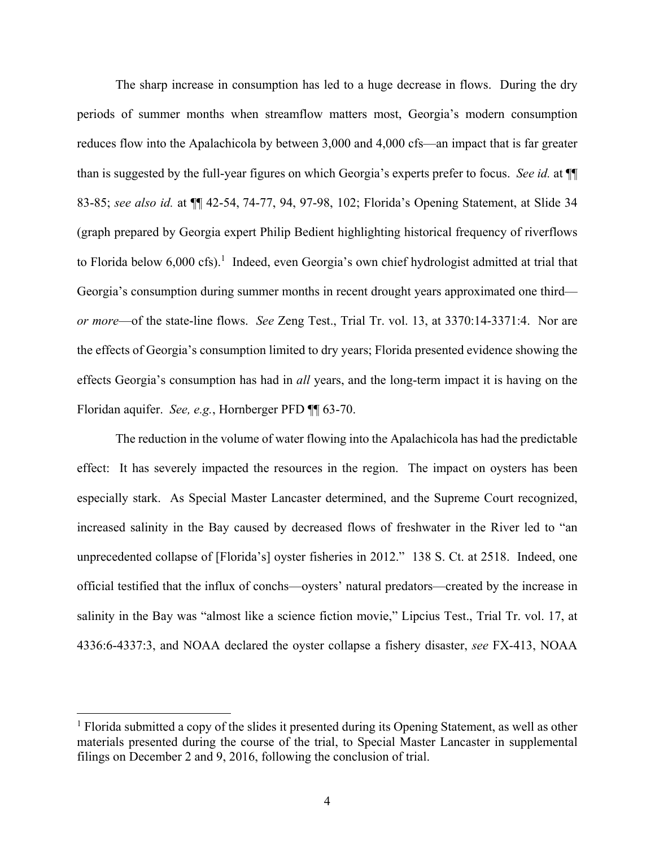The sharp increase in consumption has led to a huge decrease in flows. During the dry periods of summer months when streamflow matters most, Georgia's modern consumption reduces flow into the Apalachicola by between 3,000 and 4,000 cfs—an impact that is far greater than is suggested by the full-year figures on which Georgia's experts prefer to focus. *See id.* at ¶¶ 83-85; *see also id.* at ¶¶ 42-54, 74-77, 94, 97-98, 102; Florida's Opening Statement, at Slide 34 (graph prepared by Georgia expert Philip Bedient highlighting historical frequency of riverflows to Florida below 6,000 cfs).<sup>1</sup> Indeed, even Georgia's own chief hydrologist admitted at trial that Georgia's consumption during summer months in recent drought years approximated one third *or more*—of the state-line flows. *See* Zeng Test., Trial Tr. vol. 13, at 3370:14-3371:4. Nor are the effects of Georgia's consumption limited to dry years; Florida presented evidence showing the effects Georgia's consumption has had in *all* years, and the long-term impact it is having on the Floridan aquifer. *See, e.g.*, Hornberger PFD ¶¶ 63-70.

The reduction in the volume of water flowing into the Apalachicola has had the predictable effect: It has severely impacted the resources in the region. The impact on oysters has been especially stark. As Special Master Lancaster determined, and the Supreme Court recognized, increased salinity in the Bay caused by decreased flows of freshwater in the River led to "an unprecedented collapse of [Florida's] oyster fisheries in 2012." 138 S. Ct. at 2518. Indeed, one official testified that the influx of conchs—oysters' natural predators—created by the increase in salinity in the Bay was "almost like a science fiction movie," Lipcius Test., Trial Tr. vol. 17, at 4336:6-4337:3, and NOAA declared the oyster collapse a fishery disaster, *see* FX-413, NOAA

 $\overline{a}$ 

<sup>&</sup>lt;sup>1</sup> Florida submitted a copy of the slides it presented during its Opening Statement, as well as other materials presented during the course of the trial, to Special Master Lancaster in supplemental filings on December 2 and 9, 2016, following the conclusion of trial.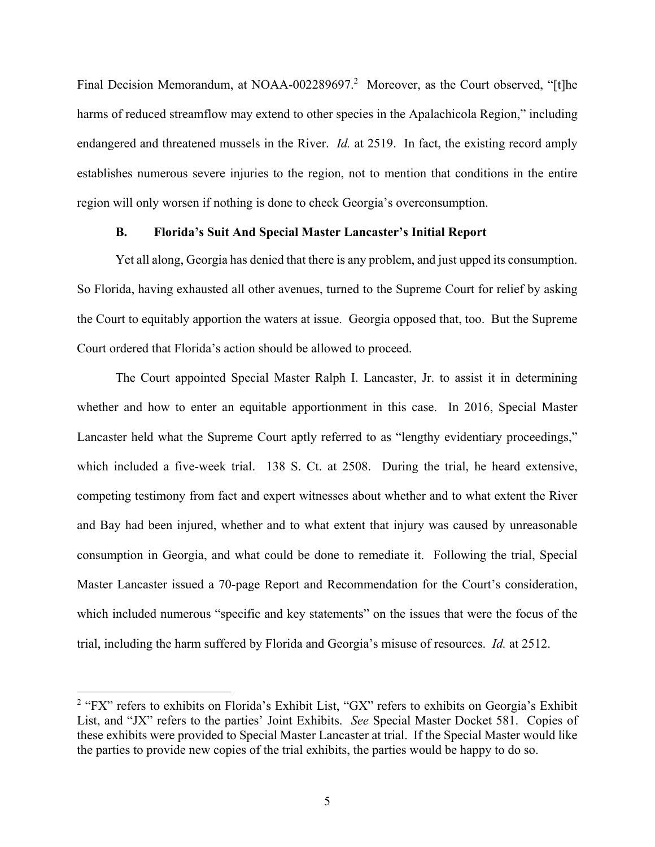Final Decision Memorandum, at NOAA-002289697.<sup>2</sup> Moreover, as the Court observed, "[t]he harms of reduced streamflow may extend to other species in the Apalachicola Region," including endangered and threatened mussels in the River. *Id.* at 2519. In fact, the existing record amply establishes numerous severe injuries to the region, not to mention that conditions in the entire region will only worsen if nothing is done to check Georgia's overconsumption.

### **B. Florida's Suit And Special Master Lancaster's Initial Report**

Yet all along, Georgia has denied that there is any problem, and just upped its consumption. So Florida, having exhausted all other avenues, turned to the Supreme Court for relief by asking the Court to equitably apportion the waters at issue. Georgia opposed that, too. But the Supreme Court ordered that Florida's action should be allowed to proceed.

The Court appointed Special Master Ralph I. Lancaster, Jr. to assist it in determining whether and how to enter an equitable apportionment in this case. In 2016, Special Master Lancaster held what the Supreme Court aptly referred to as "lengthy evidentiary proceedings," which included a five-week trial. 138 S. Ct. at 2508. During the trial, he heard extensive, competing testimony from fact and expert witnesses about whether and to what extent the River and Bay had been injured, whether and to what extent that injury was caused by unreasonable consumption in Georgia, and what could be done to remediate it. Following the trial, Special Master Lancaster issued a 70-page Report and Recommendation for the Court's consideration, which included numerous "specific and key statements" on the issues that were the focus of the trial, including the harm suffered by Florida and Georgia's misuse of resources. *Id.* at 2512.

 $\overline{a}$ 

<sup>&</sup>lt;sup>2</sup> "FX" refers to exhibits on Florida's Exhibit List, "GX" refers to exhibits on Georgia's Exhibit List, and "JX" refers to the parties' Joint Exhibits. *See* Special Master Docket 581. Copies of these exhibits were provided to Special Master Lancaster at trial. If the Special Master would like the parties to provide new copies of the trial exhibits, the parties would be happy to do so.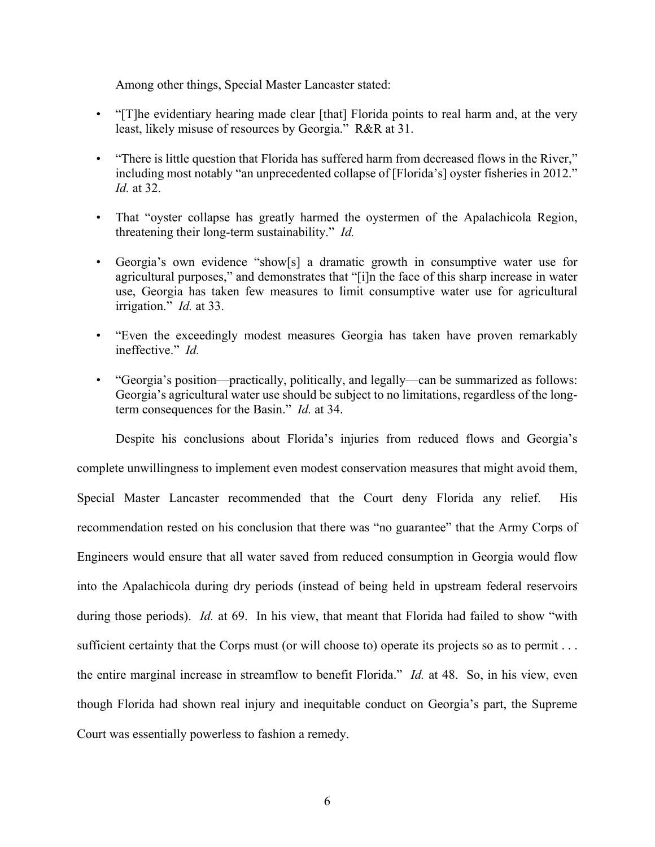Among other things, Special Master Lancaster stated:

- "[T]he evidentiary hearing made clear [that] Florida points to real harm and, at the very least, likely misuse of resources by Georgia." R&R at 31.
- "There is little question that Florida has suffered harm from decreased flows in the River," including most notably "an unprecedented collapse of [Florida's] oyster fisheries in 2012." *Id.* at 32.
- That "oyster collapse has greatly harmed the oystermen of the Apalachicola Region, threatening their long-term sustainability." *Id.*
- Georgia's own evidence "show[s] a dramatic growth in consumptive water use for agricultural purposes," and demonstrates that "[i]n the face of this sharp increase in water use, Georgia has taken few measures to limit consumptive water use for agricultural irrigation." *Id.* at 33.
- "Even the exceedingly modest measures Georgia has taken have proven remarkably ineffective." *Id.*
- "Georgia's position—practically, politically, and legally—can be summarized as follows: Georgia's agricultural water use should be subject to no limitations, regardless of the longterm consequences for the Basin." *Id.* at 34.

Despite his conclusions about Florida's injuries from reduced flows and Georgia's complete unwillingness to implement even modest conservation measures that might avoid them, Special Master Lancaster recommended that the Court deny Florida any relief. His recommendation rested on his conclusion that there was "no guarantee" that the Army Corps of Engineers would ensure that all water saved from reduced consumption in Georgia would flow into the Apalachicola during dry periods (instead of being held in upstream federal reservoirs during those periods). *Id.* at 69. In his view, that meant that Florida had failed to show "with sufficient certainty that the Corps must (or will choose to) operate its projects so as to permit . . . the entire marginal increase in streamflow to benefit Florida." *Id.* at 48. So, in his view, even though Florida had shown real injury and inequitable conduct on Georgia's part, the Supreme Court was essentially powerless to fashion a remedy.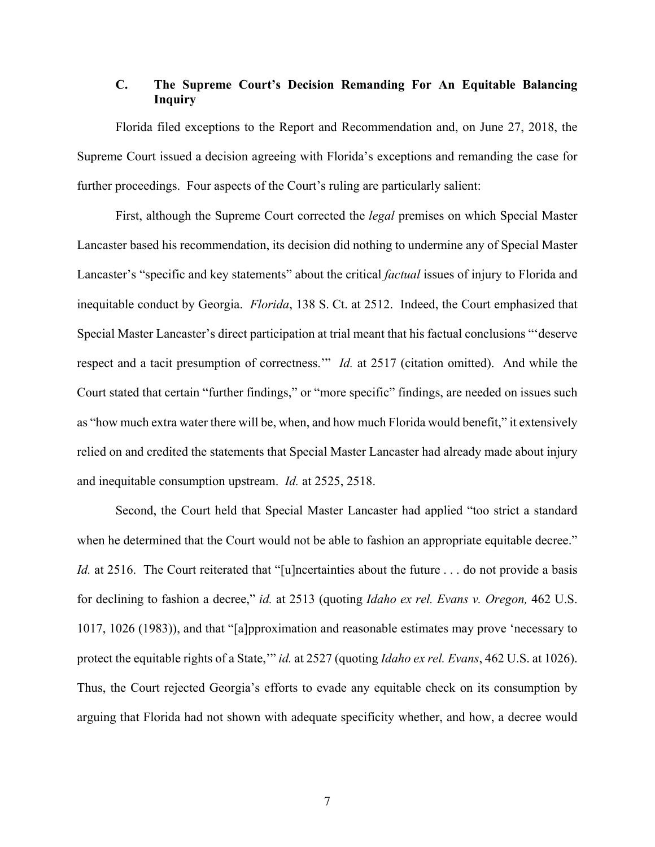# **C. The Supreme Court's Decision Remanding For An Equitable Balancing Inquiry**

Florida filed exceptions to the Report and Recommendation and, on June 27, 2018, the Supreme Court issued a decision agreeing with Florida's exceptions and remanding the case for further proceedings. Four aspects of the Court's ruling are particularly salient:

First, although the Supreme Court corrected the *legal* premises on which Special Master Lancaster based his recommendation, its decision did nothing to undermine any of Special Master Lancaster's "specific and key statements" about the critical *factual* issues of injury to Florida and inequitable conduct by Georgia. *Florida*, 138 S. Ct. at 2512. Indeed, the Court emphasized that Special Master Lancaster's direct participation at trial meant that his factual conclusions "'deserve respect and a tacit presumption of correctness.'" *Id.* at 2517 (citation omitted). And while the Court stated that certain "further findings," or "more specific" findings, are needed on issues such as "how much extra water there will be, when, and how much Florida would benefit," it extensively relied on and credited the statements that Special Master Lancaster had already made about injury and inequitable consumption upstream. *Id.* at 2525, 2518.

Second, the Court held that Special Master Lancaster had applied "too strict a standard when he determined that the Court would not be able to fashion an appropriate equitable decree." *Id.* at 2516. The Court reiterated that "[u]ncertainties about the future ... do not provide a basis for declining to fashion a decree," *id.* at 2513 (quoting *Idaho ex rel. Evans v. Oregon,* 462 U.S. 1017, 1026 (1983)), and that "[a]pproximation and reasonable estimates may prove 'necessary to protect the equitable rights of a State,'" *id.* at 2527 (quoting *Idaho ex rel. Evans*, 462 U.S. at 1026). Thus, the Court rejected Georgia's efforts to evade any equitable check on its consumption by arguing that Florida had not shown with adequate specificity whether, and how, a decree would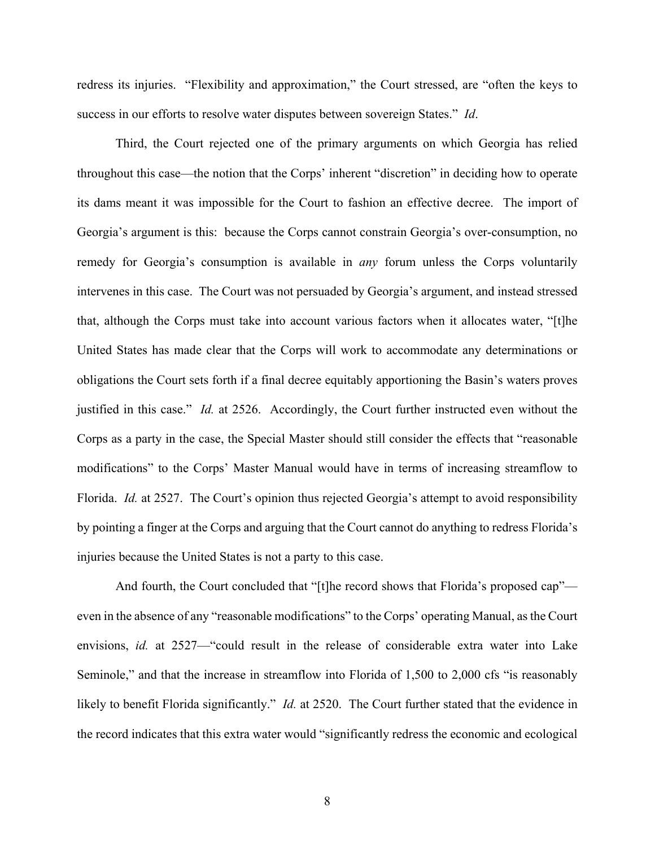redress its injuries. "Flexibility and approximation," the Court stressed, are "often the keys to success in our efforts to resolve water disputes between sovereign States." *Id*.

Third, the Court rejected one of the primary arguments on which Georgia has relied throughout this case—the notion that the Corps' inherent "discretion" in deciding how to operate its dams meant it was impossible for the Court to fashion an effective decree. The import of Georgia's argument is this: because the Corps cannot constrain Georgia's over-consumption, no remedy for Georgia's consumption is available in *any* forum unless the Corps voluntarily intervenes in this case. The Court was not persuaded by Georgia's argument, and instead stressed that, although the Corps must take into account various factors when it allocates water, "[t]he United States has made clear that the Corps will work to accommodate any determinations or obligations the Court sets forth if a final decree equitably apportioning the Basin's waters proves justified in this case." *Id.* at 2526. Accordingly, the Court further instructed even without the Corps as a party in the case, the Special Master should still consider the effects that "reasonable modifications" to the Corps' Master Manual would have in terms of increasing streamflow to Florida. *Id.* at 2527. The Court's opinion thus rejected Georgia's attempt to avoid responsibility by pointing a finger at the Corps and arguing that the Court cannot do anything to redress Florida's injuries because the United States is not a party to this case.

And fourth, the Court concluded that "[t]he record shows that Florida's proposed cap" even in the absence of any "reasonable modifications" to the Corps' operating Manual, as the Court envisions, *id.* at 2527—"could result in the release of considerable extra water into Lake Seminole," and that the increase in streamflow into Florida of 1,500 to 2,000 cfs "is reasonably likely to benefit Florida significantly." *Id.* at 2520. The Court further stated that the evidence in the record indicates that this extra water would "significantly redress the economic and ecological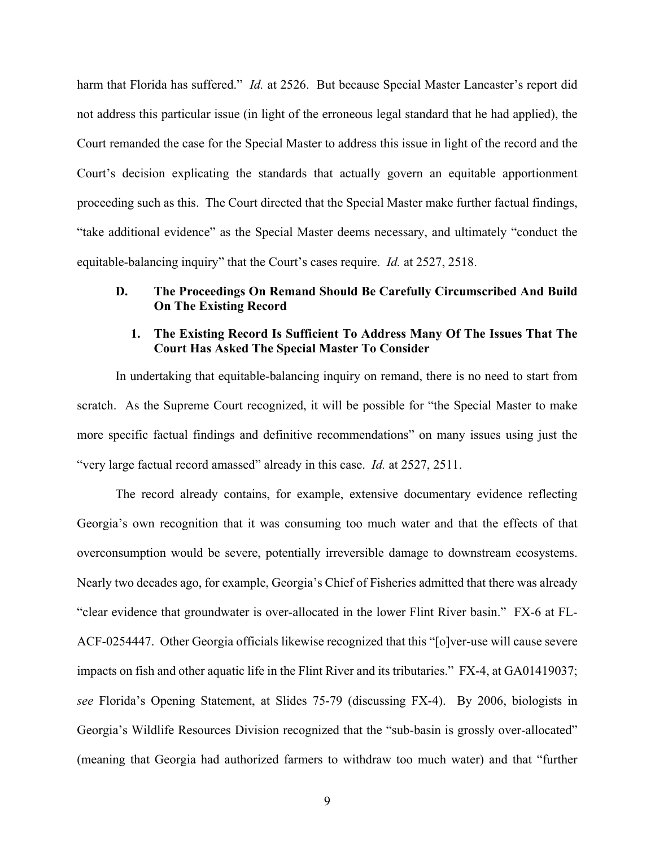harm that Florida has suffered." *Id.* at 2526. But because Special Master Lancaster's report did not address this particular issue (in light of the erroneous legal standard that he had applied), the Court remanded the case for the Special Master to address this issue in light of the record and the Court's decision explicating the standards that actually govern an equitable apportionment proceeding such as this. The Court directed that the Special Master make further factual findings, "take additional evidence" as the Special Master deems necessary, and ultimately "conduct the equitable-balancing inquiry" that the Court's cases require. *Id.* at 2527, 2518.

## **D. The Proceedings On Remand Should Be Carefully Circumscribed And Build On The Existing Record**

## **1. The Existing Record Is Sufficient To Address Many Of The Issues That The Court Has Asked The Special Master To Consider**

In undertaking that equitable-balancing inquiry on remand, there is no need to start from scratch. As the Supreme Court recognized, it will be possible for "the Special Master to make more specific factual findings and definitive recommendations" on many issues using just the "very large factual record amassed" already in this case. *Id.* at 2527, 2511.

The record already contains, for example, extensive documentary evidence reflecting Georgia's own recognition that it was consuming too much water and that the effects of that overconsumption would be severe, potentially irreversible damage to downstream ecosystems. Nearly two decades ago, for example, Georgia's Chief of Fisheries admitted that there was already "clear evidence that groundwater is over-allocated in the lower Flint River basin." FX-6 at FL-ACF-0254447. Other Georgia officials likewise recognized that this "[o]ver-use will cause severe impacts on fish and other aquatic life in the Flint River and its tributaries." FX-4, at GA01419037; *see* Florida's Opening Statement, at Slides 75-79 (discussing FX-4). By 2006, biologists in Georgia's Wildlife Resources Division recognized that the "sub-basin is grossly over-allocated" (meaning that Georgia had authorized farmers to withdraw too much water) and that "further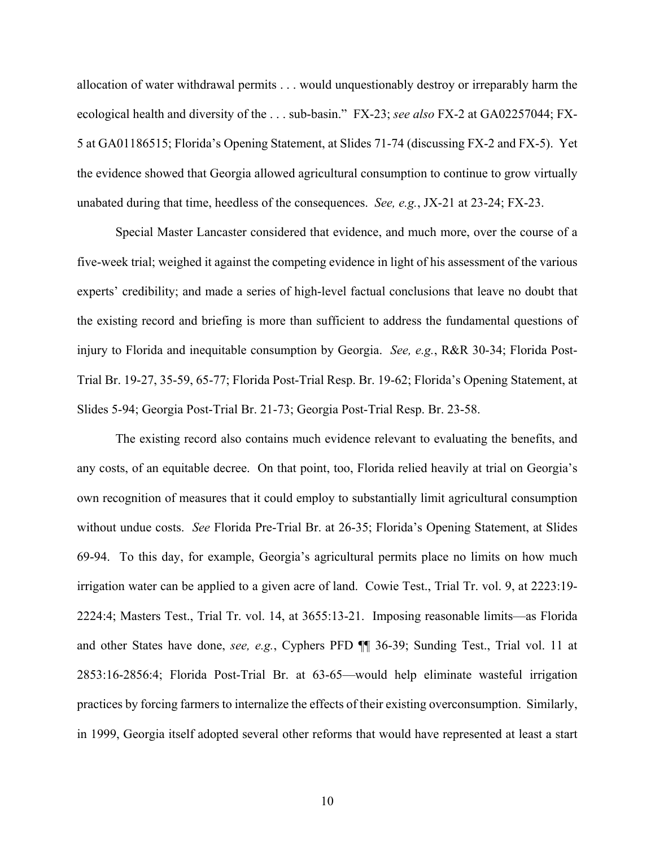allocation of water withdrawal permits . . . would unquestionably destroy or irreparably harm the ecological health and diversity of the . . . sub-basin." FX-23; *see also* FX-2 at GA02257044; FX-5 at GA01186515; Florida's Opening Statement, at Slides 71-74 (discussing FX-2 and FX-5). Yet the evidence showed that Georgia allowed agricultural consumption to continue to grow virtually unabated during that time, heedless of the consequences. *See, e.g.*, JX-21 at 23-24; FX-23.

Special Master Lancaster considered that evidence, and much more, over the course of a five-week trial; weighed it against the competing evidence in light of his assessment of the various experts' credibility; and made a series of high-level factual conclusions that leave no doubt that the existing record and briefing is more than sufficient to address the fundamental questions of injury to Florida and inequitable consumption by Georgia. *See, e.g.*, R&R 30-34; Florida Post-Trial Br. 19-27, 35-59, 65-77; Florida Post-Trial Resp. Br. 19-62; Florida's Opening Statement, at Slides 5-94; Georgia Post-Trial Br. 21-73; Georgia Post-Trial Resp. Br. 23-58.

The existing record also contains much evidence relevant to evaluating the benefits, and any costs, of an equitable decree. On that point, too, Florida relied heavily at trial on Georgia's own recognition of measures that it could employ to substantially limit agricultural consumption without undue costs. *See* Florida Pre-Trial Br. at 26-35; Florida's Opening Statement, at Slides 69-94. To this day, for example, Georgia's agricultural permits place no limits on how much irrigation water can be applied to a given acre of land. Cowie Test., Trial Tr. vol. 9, at 2223:19- 2224:4; Masters Test., Trial Tr. vol. 14, at 3655:13-21. Imposing reasonable limits—as Florida and other States have done, *see, e.g.*, Cyphers PFD ¶¶ 36-39; Sunding Test., Trial vol. 11 at 2853:16-2856:4; Florida Post-Trial Br. at 63-65—would help eliminate wasteful irrigation practices by forcing farmers to internalize the effects of their existing overconsumption. Similarly, in 1999, Georgia itself adopted several other reforms that would have represented at least a start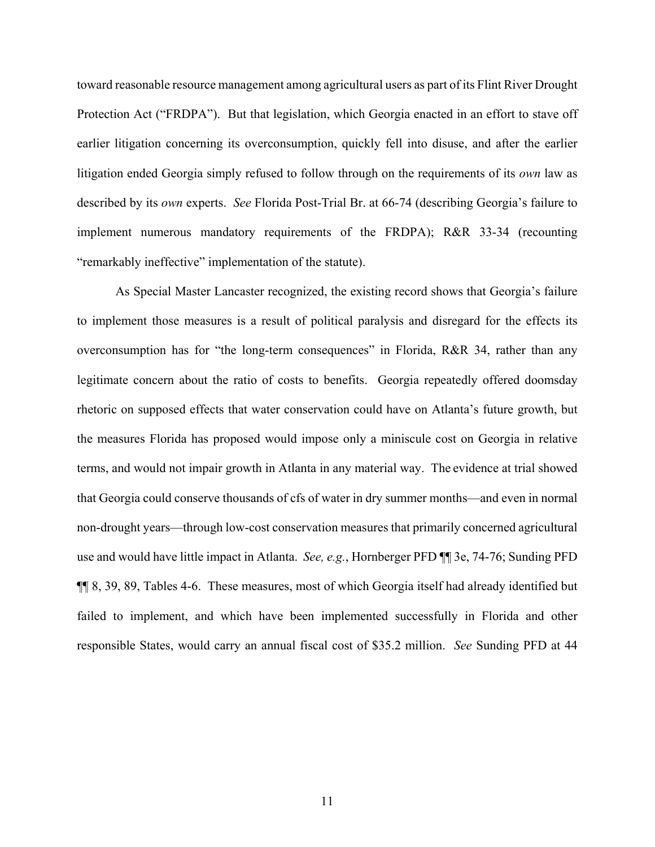toward reasonable resource management among agricultural users as part of its Flint River Drought Protection Act ("FRDPA"). But that legislation, which Georgia enacted in an effort to stave off earlier litigation concerning its overconsumption, quickly fell into disuse, and after the earlier litigation ended Georgia simply refused to follow through on the requirements of its *own* law as described by its *own* experts. *See* Florida Post-Trial Br. at 66-74 (describing Georgia's failure to implement numerous mandatory requirements of the FRDPA); R&R 33-34 (recounting "remarkably ineffective" implementation of the statute).

As Special Master Lancaster recognized, the existing record shows that Georgia's failure to implement those measures is a result of political paralysis and disregard for the effects its overconsumption has for "the long-term consequences" in Florida, R&R 34, rather than any legitimate concern about the ratio of costs to benefits. Georgia repeatedly offered doomsday rhetoric on supposed effects that water conservation could have on Atlanta's future growth, but the measures Florida has proposed would impose only a miniscule cost on Georgia in relative terms, and would not impair growth in Atlanta in any material way. The evidence at trial showed that Georgia could conserve thousands of cfs of water in dry summer months—and even in normal non-drought years—through low-cost conservation measures that primarily concerned agricultural use and would have little impact in Atlanta. *See, e.g.*, Hornberger PFD ¶¶ 3e, 74-76; Sunding PFD ¶¶ 8, 39, 89, Tables 4-6. These measures, most of which Georgia itself had already identified but failed to implement, and which have been implemented successfully in Florida and other responsible States, would carry an annual fiscal cost of \$35.2 million. *See* Sunding PFD at 44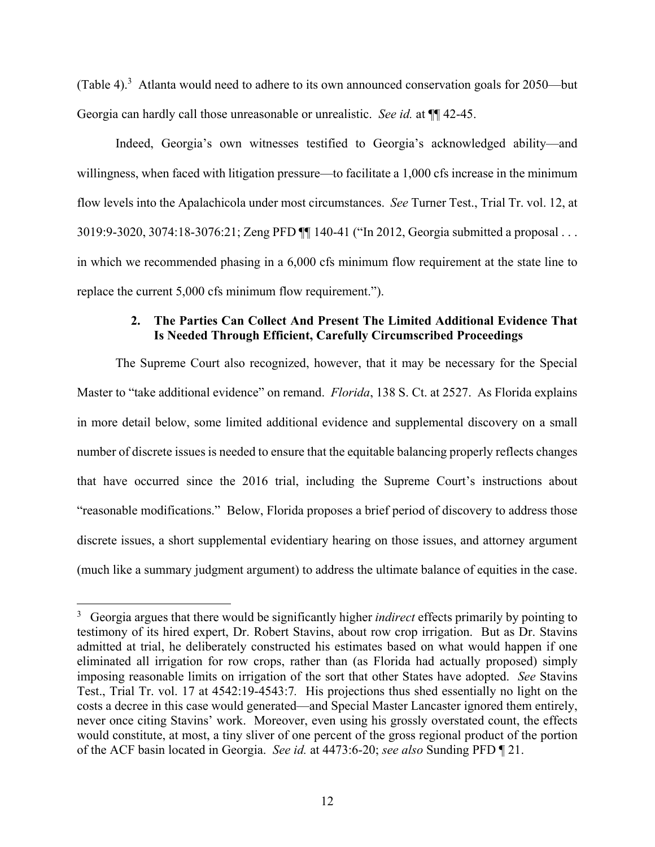(Table 4).<sup>3</sup> Atlanta would need to adhere to its own announced conservation goals for 2050—but Georgia can hardly call those unreasonable or unrealistic. *See id.* at ¶¶ 42-45.

Indeed, Georgia's own witnesses testified to Georgia's acknowledged ability—and willingness, when faced with litigation pressure—to facilitate a 1,000 cfs increase in the minimum flow levels into the Apalachicola under most circumstances. *See* Turner Test., Trial Tr. vol. 12, at 3019:9-3020, 3074:18-3076:21; Zeng PFD ¶¶ 140-41 ("In 2012, Georgia submitted a proposal . . . in which we recommended phasing in a 6,000 cfs minimum flow requirement at the state line to replace the current 5,000 cfs minimum flow requirement.").

# **2. The Parties Can Collect And Present The Limited Additional Evidence That Is Needed Through Efficient, Carefully Circumscribed Proceedings**

The Supreme Court also recognized, however, that it may be necessary for the Special Master to "take additional evidence" on remand. *Florida*, 138 S. Ct. at 2527. As Florida explains in more detail below, some limited additional evidence and supplemental discovery on a small number of discrete issues is needed to ensure that the equitable balancing properly reflects changes that have occurred since the 2016 trial, including the Supreme Court's instructions about "reasonable modifications." Below, Florida proposes a brief period of discovery to address those discrete issues, a short supplemental evidentiary hearing on those issues, and attorney argument (much like a summary judgment argument) to address the ultimate balance of equities in the case.

<u>.</u>

<sup>3</sup> Georgia argues that there would be significantly higher *indirect* effects primarily by pointing to testimony of its hired expert, Dr. Robert Stavins, about row crop irrigation. But as Dr. Stavins admitted at trial, he deliberately constructed his estimates based on what would happen if one eliminated all irrigation for row crops, rather than (as Florida had actually proposed) simply imposing reasonable limits on irrigation of the sort that other States have adopted. *See* Stavins Test., Trial Tr. vol. 17 at 4542:19-4543:7*.* His projections thus shed essentially no light on the costs a decree in this case would generated—and Special Master Lancaster ignored them entirely, never once citing Stavins' work. Moreover, even using his grossly overstated count, the effects would constitute, at most, a tiny sliver of one percent of the gross regional product of the portion of the ACF basin located in Georgia. *See id.* at 4473:6-20; *see also* Sunding PFD ¶ 21.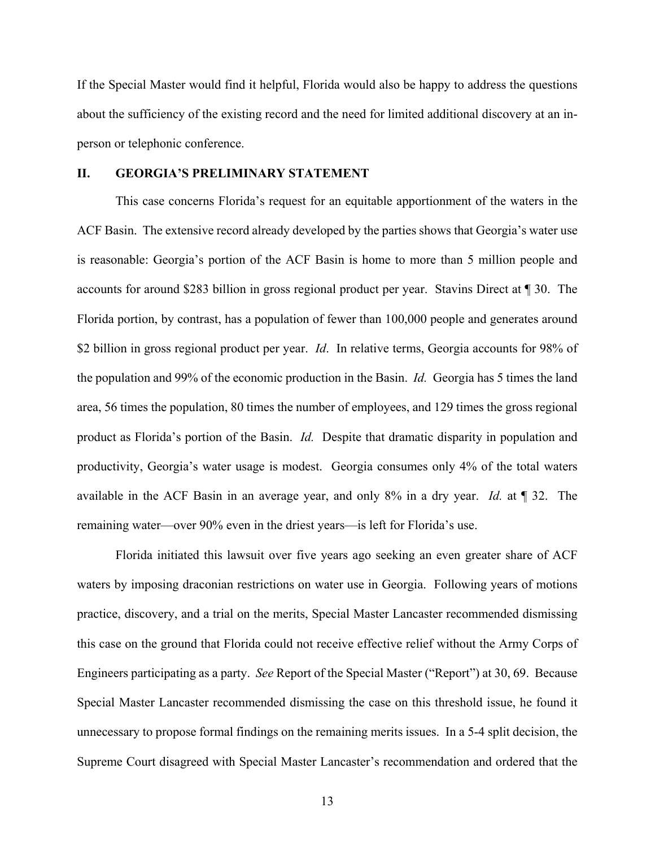If the Special Master would find it helpful, Florida would also be happy to address the questions about the sufficiency of the existing record and the need for limited additional discovery at an inperson or telephonic conference.

### **II. GEORGIA'S PRELIMINARY STATEMENT**

This case concerns Florida's request for an equitable apportionment of the waters in the ACF Basin. The extensive record already developed by the parties shows that Georgia's water use is reasonable: Georgia's portion of the ACF Basin is home to more than 5 million people and accounts for around \$283 billion in gross regional product per year. Stavins Direct at ¶ 30. The Florida portion, by contrast, has a population of fewer than 100,000 people and generates around \$2 billion in gross regional product per year. *Id*. In relative terms, Georgia accounts for 98% of the population and 99% of the economic production in the Basin. *Id.* Georgia has 5 times the land area, 56 times the population, 80 times the number of employees, and 129 times the gross regional product as Florida's portion of the Basin. *Id.* Despite that dramatic disparity in population and productivity, Georgia's water usage is modest. Georgia consumes only 4% of the total waters available in the ACF Basin in an average year, and only 8% in a dry year. *Id.* at ¶ 32. The remaining water—over 90% even in the driest years—is left for Florida's use.

Florida initiated this lawsuit over five years ago seeking an even greater share of ACF waters by imposing draconian restrictions on water use in Georgia. Following years of motions practice, discovery, and a trial on the merits, Special Master Lancaster recommended dismissing this case on the ground that Florida could not receive effective relief without the Army Corps of Engineers participating as a party. *See* Report of the Special Master ("Report") at 30, 69. Because Special Master Lancaster recommended dismissing the case on this threshold issue, he found it unnecessary to propose formal findings on the remaining merits issues. In a 5-4 split decision, the Supreme Court disagreed with Special Master Lancaster's recommendation and ordered that the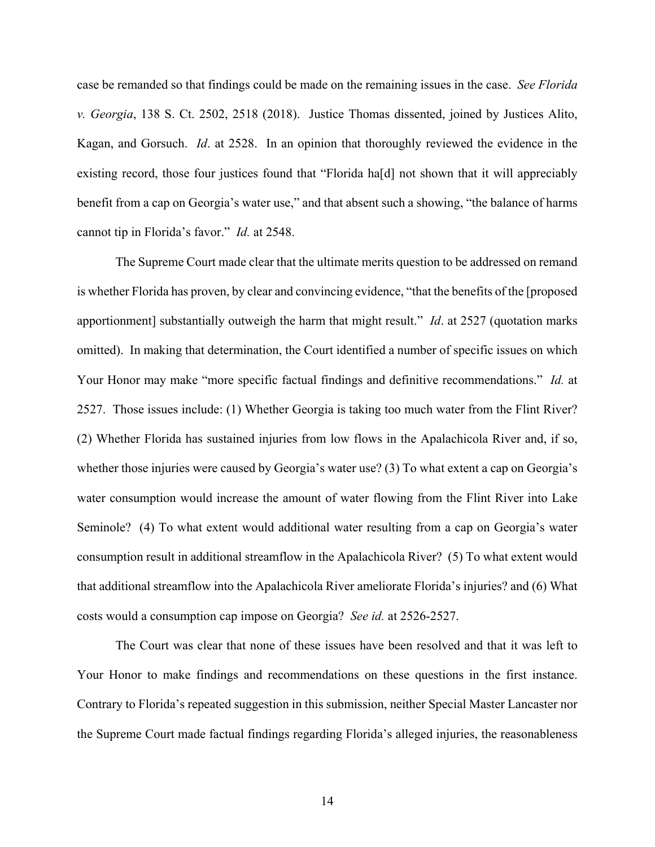case be remanded so that findings could be made on the remaining issues in the case. *See Florida v. Georgia*, 138 S. Ct. 2502, 2518 (2018). Justice Thomas dissented, joined by Justices Alito, Kagan, and Gorsuch. *Id*. at 2528. In an opinion that thoroughly reviewed the evidence in the existing record, those four justices found that "Florida ha[d] not shown that it will appreciably benefit from a cap on Georgia's water use," and that absent such a showing, "the balance of harms cannot tip in Florida's favor." *Id.* at 2548.

The Supreme Court made clear that the ultimate merits question to be addressed on remand is whether Florida has proven, by clear and convincing evidence, "that the benefits of the [proposed apportionment] substantially outweigh the harm that might result." *Id*. at 2527 (quotation marks omitted). In making that determination, the Court identified a number of specific issues on which Your Honor may make "more specific factual findings and definitive recommendations." *Id.* at 2527. Those issues include: (1) Whether Georgia is taking too much water from the Flint River? (2) Whether Florida has sustained injuries from low flows in the Apalachicola River and, if so, whether those injuries were caused by Georgia's water use? (3) To what extent a cap on Georgia's water consumption would increase the amount of water flowing from the Flint River into Lake Seminole? (4) To what extent would additional water resulting from a cap on Georgia's water consumption result in additional streamflow in the Apalachicola River? (5) To what extent would that additional streamflow into the Apalachicola River ameliorate Florida's injuries? and (6) What costs would a consumption cap impose on Georgia? *See id.* at 2526-2527.

The Court was clear that none of these issues have been resolved and that it was left to Your Honor to make findings and recommendations on these questions in the first instance. Contrary to Florida's repeated suggestion in this submission, neither Special Master Lancaster nor the Supreme Court made factual findings regarding Florida's alleged injuries, the reasonableness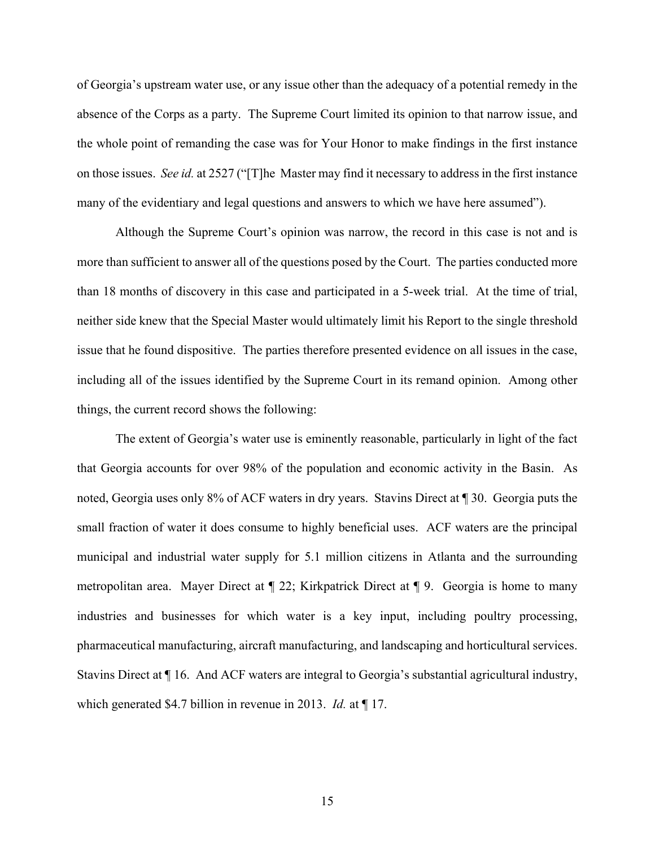of Georgia's upstream water use, or any issue other than the adequacy of a potential remedy in the absence of the Corps as a party. The Supreme Court limited its opinion to that narrow issue, and the whole point of remanding the case was for Your Honor to make findings in the first instance on those issues. *See id.* at 2527 ("[T]he Master may find it necessary to address in the first instance many of the evidentiary and legal questions and answers to which we have here assumed").

Although the Supreme Court's opinion was narrow, the record in this case is not and is more than sufficient to answer all of the questions posed by the Court. The parties conducted more than 18 months of discovery in this case and participated in a 5-week trial. At the time of trial, neither side knew that the Special Master would ultimately limit his Report to the single threshold issue that he found dispositive. The parties therefore presented evidence on all issues in the case, including all of the issues identified by the Supreme Court in its remand opinion. Among other things, the current record shows the following:

The extent of Georgia's water use is eminently reasonable, particularly in light of the fact that Georgia accounts for over 98% of the population and economic activity in the Basin. As noted, Georgia uses only 8% of ACF waters in dry years. Stavins Direct at ¶ 30. Georgia puts the small fraction of water it does consume to highly beneficial uses. ACF waters are the principal municipal and industrial water supply for 5.1 million citizens in Atlanta and the surrounding metropolitan area. Mayer Direct at ¶ 22; Kirkpatrick Direct at ¶ 9. Georgia is home to many industries and businesses for which water is a key input, including poultry processing, pharmaceutical manufacturing, aircraft manufacturing, and landscaping and horticultural services. Stavins Direct at ¶ 16. And ACF waters are integral to Georgia's substantial agricultural industry, which generated \$4.7 billion in revenue in 2013. *Id.* at ¶ 17.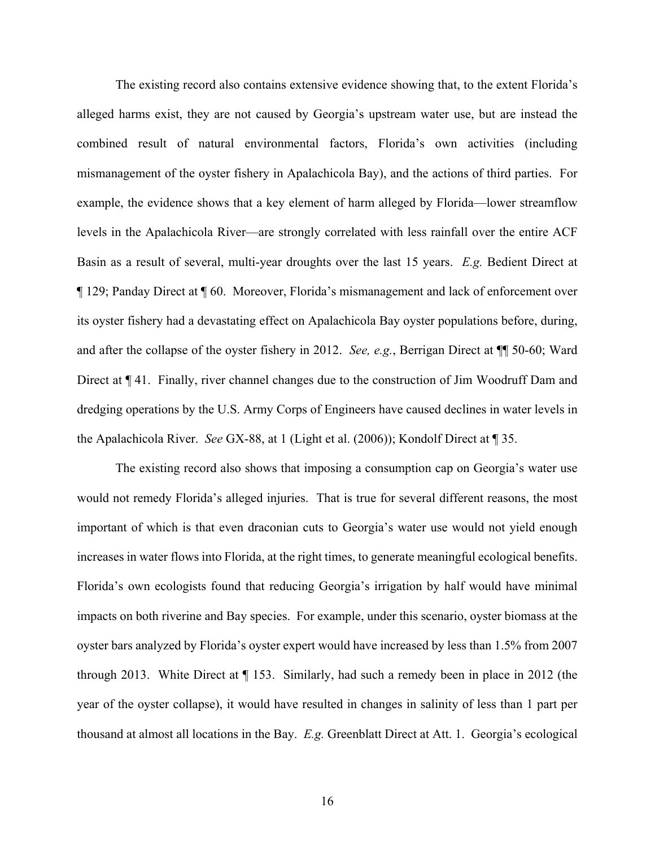The existing record also contains extensive evidence showing that, to the extent Florida's alleged harms exist, they are not caused by Georgia's upstream water use, but are instead the combined result of natural environmental factors, Florida's own activities (including mismanagement of the oyster fishery in Apalachicola Bay), and the actions of third parties. For example, the evidence shows that a key element of harm alleged by Florida—lower streamflow levels in the Apalachicola River—are strongly correlated with less rainfall over the entire ACF Basin as a result of several, multi-year droughts over the last 15 years. *E.g.* Bedient Direct at ¶ 129; Panday Direct at ¶ 60. Moreover, Florida's mismanagement and lack of enforcement over its oyster fishery had a devastating effect on Apalachicola Bay oyster populations before, during, and after the collapse of the oyster fishery in 2012. *See, e.g.*, Berrigan Direct at ¶¶ 50-60; Ward Direct at  $\P$  41. Finally, river channel changes due to the construction of Jim Woodruff Dam and dredging operations by the U.S. Army Corps of Engineers have caused declines in water levels in the Apalachicola River. *See* GX-88, at 1 (Light et al. (2006)); Kondolf Direct at ¶ 35.

The existing record also shows that imposing a consumption cap on Georgia's water use would not remedy Florida's alleged injuries. That is true for several different reasons, the most important of which is that even draconian cuts to Georgia's water use would not yield enough increases in water flows into Florida, at the right times, to generate meaningful ecological benefits. Florida's own ecologists found that reducing Georgia's irrigation by half would have minimal impacts on both riverine and Bay species. For example, under this scenario, oyster biomass at the oyster bars analyzed by Florida's oyster expert would have increased by less than 1.5% from 2007 through 2013. White Direct at ¶ 153. Similarly, had such a remedy been in place in 2012 (the year of the oyster collapse), it would have resulted in changes in salinity of less than 1 part per thousand at almost all locations in the Bay. *E.g.* Greenblatt Direct at Att. 1. Georgia's ecological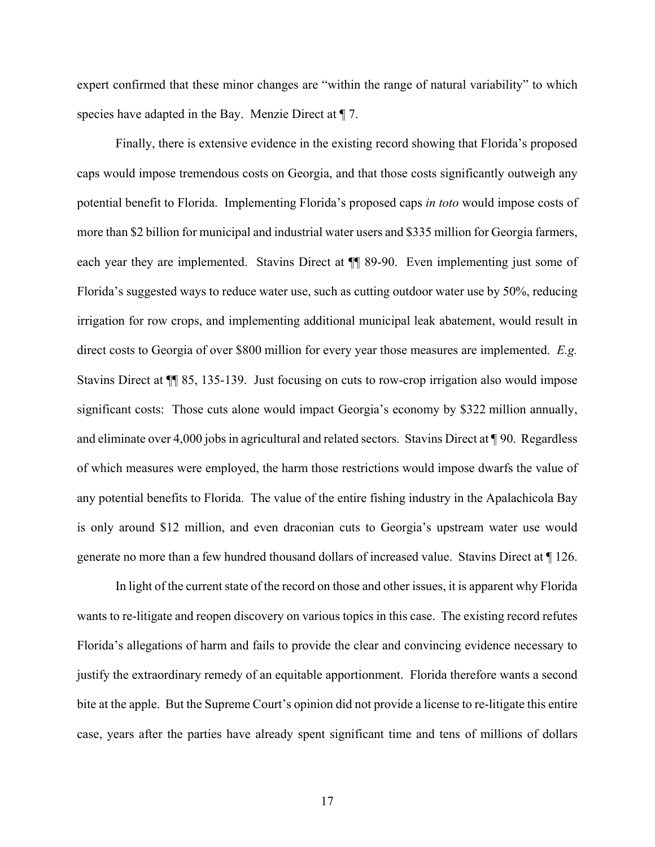expert confirmed that these minor changes are "within the range of natural variability" to which species have adapted in the Bay. Menzie Direct at  $\P$  7.

Finally, there is extensive evidence in the existing record showing that Florida's proposed caps would impose tremendous costs on Georgia, and that those costs significantly outweigh any potential benefit to Florida. Implementing Florida's proposed caps *in toto* would impose costs of more than \$2 billion for municipal and industrial water users and \$335 million for Georgia farmers, each year they are implemented. Stavins Direct at ¶¶ 89-90. Even implementing just some of Florida's suggested ways to reduce water use, such as cutting outdoor water use by 50%, reducing irrigation for row crops, and implementing additional municipal leak abatement, would result in direct costs to Georgia of over \$800 million for every year those measures are implemented. *E.g.* Stavins Direct at ¶¶ 85, 135-139. Just focusing on cuts to row-crop irrigation also would impose significant costs: Those cuts alone would impact Georgia's economy by \$322 million annually, and eliminate over 4,000 jobs in agricultural and related sectors. Stavins Direct at ¶ 90. Regardless of which measures were employed, the harm those restrictions would impose dwarfs the value of any potential benefits to Florida. The value of the entire fishing industry in the Apalachicola Bay is only around \$12 million, and even draconian cuts to Georgia's upstream water use would generate no more than a few hundred thousand dollars of increased value. Stavins Direct at ¶ 126.

In light of the current state of the record on those and other issues, it is apparent why Florida wants to re-litigate and reopen discovery on various topics in this case. The existing record refutes Florida's allegations of harm and fails to provide the clear and convincing evidence necessary to justify the extraordinary remedy of an equitable apportionment. Florida therefore wants a second bite at the apple. But the Supreme Court's opinion did not provide a license to re-litigate this entire case, years after the parties have already spent significant time and tens of millions of dollars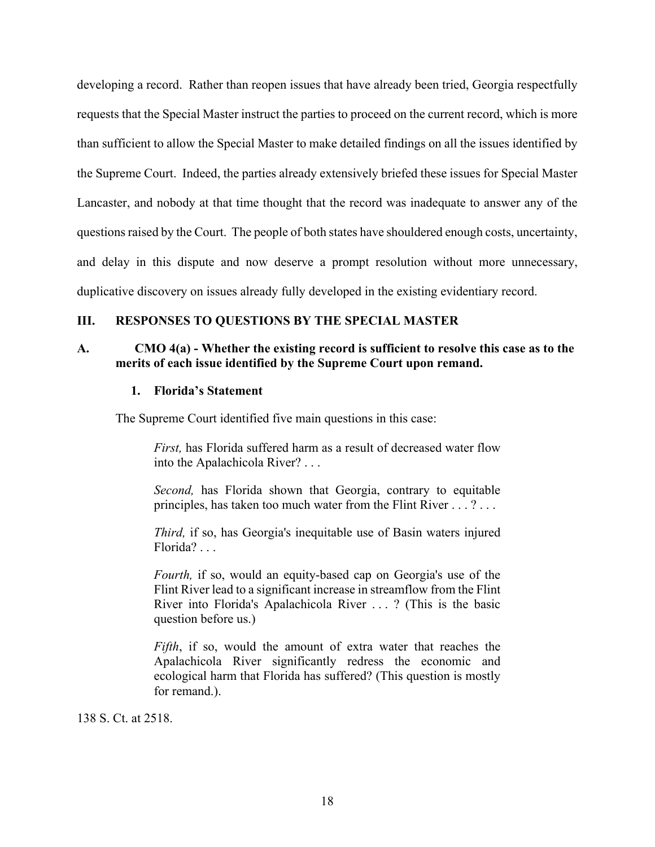developing a record. Rather than reopen issues that have already been tried, Georgia respectfully requests that the Special Master instruct the parties to proceed on the current record, which is more than sufficient to allow the Special Master to make detailed findings on all the issues identified by the Supreme Court. Indeed, the parties already extensively briefed these issues for Special Master Lancaster, and nobody at that time thought that the record was inadequate to answer any of the questions raised by the Court. The people of both states have shouldered enough costs, uncertainty, and delay in this dispute and now deserve a prompt resolution without more unnecessary, duplicative discovery on issues already fully developed in the existing evidentiary record.

# **III. RESPONSES TO QUESTIONS BY THE SPECIAL MASTER**

# **A. CMO 4(a) - Whether the existing record is sufficient to resolve this case as to the merits of each issue identified by the Supreme Court upon remand.**

### **1. Florida's Statement**

The Supreme Court identified five main questions in this case:

*First,* has Florida suffered harm as a result of decreased water flow into the Apalachicola River? . . .

*Second,* has Florida shown that Georgia, contrary to equitable principles, has taken too much water from the Flint River . . . ? . . .

*Third,* if so, has Georgia's inequitable use of Basin waters injured Florida? . . .

*Fourth,* if so, would an equity-based cap on Georgia's use of the Flint River lead to a significant increase in streamflow from the Flint River into Florida's Apalachicola River . . . ? (This is the basic question before us.)

*Fifth*, if so, would the amount of extra water that reaches the Apalachicola River significantly redress the economic and ecological harm that Florida has suffered? (This question is mostly for remand.).

138 S. Ct. at 2518.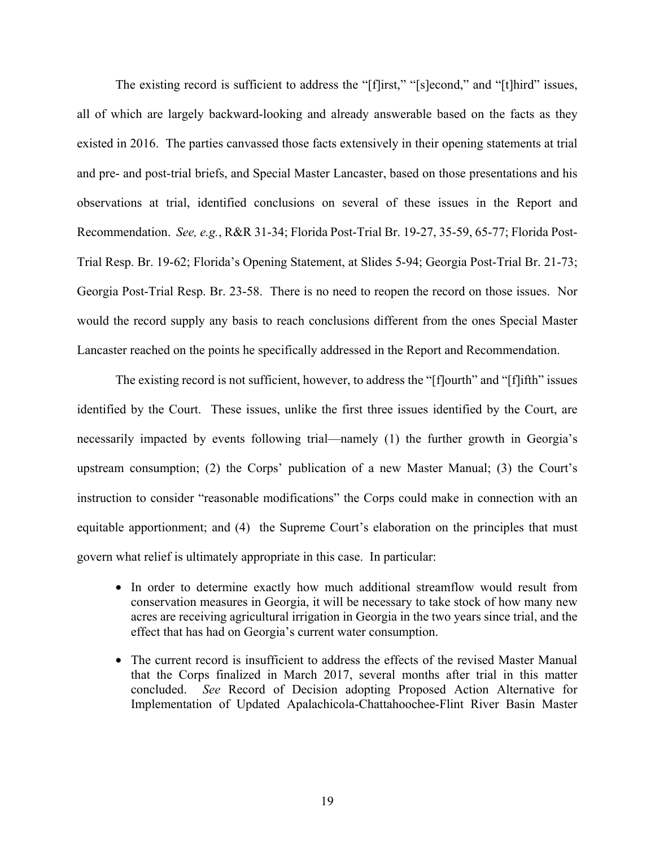The existing record is sufficient to address the "[f]irst," "[s]econd," and "[t]hird" issues, all of which are largely backward-looking and already answerable based on the facts as they existed in 2016. The parties canvassed those facts extensively in their opening statements at trial and pre- and post-trial briefs, and Special Master Lancaster, based on those presentations and his observations at trial, identified conclusions on several of these issues in the Report and Recommendation. *See, e.g.*, R&R 31-34; Florida Post-Trial Br. 19-27, 35-59, 65-77; Florida Post-Trial Resp. Br. 19-62; Florida's Opening Statement, at Slides 5-94; Georgia Post-Trial Br. 21-73; Georgia Post-Trial Resp. Br. 23-58. There is no need to reopen the record on those issues. Nor would the record supply any basis to reach conclusions different from the ones Special Master Lancaster reached on the points he specifically addressed in the Report and Recommendation.

The existing record is not sufficient, however, to address the "[f]ourth" and "[f]ifth" issues identified by the Court. These issues, unlike the first three issues identified by the Court, are necessarily impacted by events following trial—namely (1) the further growth in Georgia's upstream consumption; (2) the Corps' publication of a new Master Manual; (3) the Court's instruction to consider "reasonable modifications" the Corps could make in connection with an equitable apportionment; and (4) the Supreme Court's elaboration on the principles that must govern what relief is ultimately appropriate in this case. In particular:

- In order to determine exactly how much additional streamflow would result from conservation measures in Georgia, it will be necessary to take stock of how many new acres are receiving agricultural irrigation in Georgia in the two years since trial, and the effect that has had on Georgia's current water consumption.
- The current record is insufficient to address the effects of the revised Master Manual that the Corps finalized in March 2017, several months after trial in this matter concluded. *See* Record of Decision adopting Proposed Action Alternative for Implementation of Updated Apalachicola-Chattahoochee-Flint River Basin Master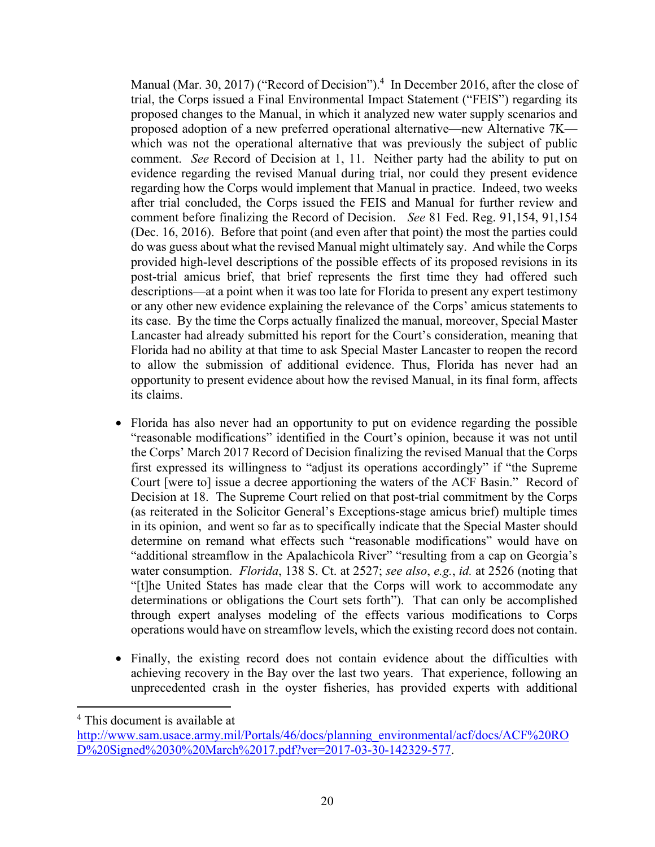Manual (Mar. 30, 2017) ("Record of Decision").<sup>4</sup> In December 2016, after the close of trial, the Corps issued a Final Environmental Impact Statement ("FEIS") regarding its proposed changes to the Manual, in which it analyzed new water supply scenarios and proposed adoption of a new preferred operational alternative—new Alternative 7K which was not the operational alternative that was previously the subject of public comment. *See* Record of Decision at 1, 11. Neither party had the ability to put on evidence regarding the revised Manual during trial, nor could they present evidence regarding how the Corps would implement that Manual in practice. Indeed, two weeks after trial concluded, the Corps issued the FEIS and Manual for further review and comment before finalizing the Record of Decision. *See* 81 Fed. Reg. 91,154, 91,154 (Dec. 16, 2016). Before that point (and even after that point) the most the parties could do was guess about what the revised Manual might ultimately say. And while the Corps provided high-level descriptions of the possible effects of its proposed revisions in its post-trial amicus brief, that brief represents the first time they had offered such descriptions—at a point when it was too late for Florida to present any expert testimony or any other new evidence explaining the relevance of the Corps' amicus statements to its case. By the time the Corps actually finalized the manual, moreover, Special Master Lancaster had already submitted his report for the Court's consideration, meaning that Florida had no ability at that time to ask Special Master Lancaster to reopen the record to allow the submission of additional evidence. Thus, Florida has never had an opportunity to present evidence about how the revised Manual, in its final form, affects its claims.

- Florida has also never had an opportunity to put on evidence regarding the possible "reasonable modifications" identified in the Court's opinion, because it was not until the Corps' March 2017 Record of Decision finalizing the revised Manual that the Corps first expressed its willingness to "adjust its operations accordingly" if "the Supreme Court [were to] issue a decree apportioning the waters of the ACF Basin." Record of Decision at 18. The Supreme Court relied on that post-trial commitment by the Corps (as reiterated in the Solicitor General's Exceptions-stage amicus brief) multiple times in its opinion, and went so far as to specifically indicate that the Special Master should determine on remand what effects such "reasonable modifications" would have on "additional streamflow in the Apalachicola River" "resulting from a cap on Georgia's water consumption. *Florida*, 138 S. Ct. at 2527; *see also*, *e.g.*, *id.* at 2526 (noting that "[t]he United States has made clear that the Corps will work to accommodate any determinations or obligations the Court sets forth"). That can only be accomplished through expert analyses modeling of the effects various modifications to Corps operations would have on streamflow levels, which the existing record does not contain.
- Finally, the existing record does not contain evidence about the difficulties with achieving recovery in the Bay over the last two years. That experience, following an unprecedented crash in the oyster fisheries, has provided experts with additional

4 This document is available at

1

http://www.sam.usace.army.mil/Portals/46/docs/planning\_environmental/acf/docs/ACF%20RO D%20Signed%2030%20March%2017.pdf?ver=2017-03-30-142329-577.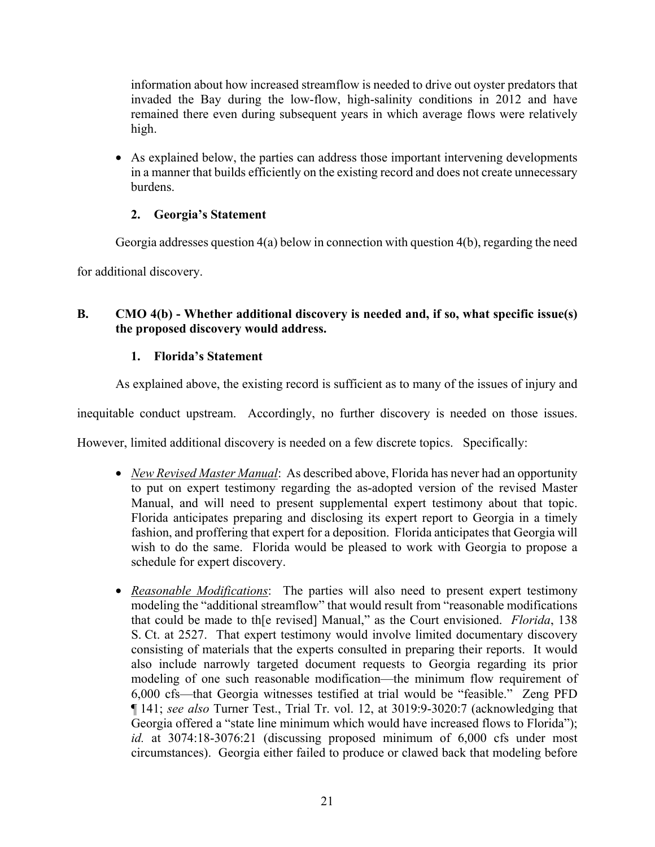information about how increased streamflow is needed to drive out oyster predators that invaded the Bay during the low-flow, high-salinity conditions in 2012 and have remained there even during subsequent years in which average flows were relatively high.

• As explained below, the parties can address those important intervening developments in a manner that builds efficiently on the existing record and does not create unnecessary burdens.

# **2. Georgia's Statement**

Georgia addresses question  $4(a)$  below in connection with question  $4(b)$ , regarding the need

for additional discovery.

# **B. CMO 4(b) - Whether additional discovery is needed and, if so, what specific issue(s) the proposed discovery would address.**

# **1. Florida's Statement**

As explained above, the existing record is sufficient as to many of the issues of injury and

inequitable conduct upstream. Accordingly, no further discovery is needed on those issues.

However, limited additional discovery is needed on a few discrete topics. Specifically:

- *New Revised Master Manual*: As described above, Florida has never had an opportunity to put on expert testimony regarding the as-adopted version of the revised Master Manual, and will need to present supplemental expert testimony about that topic. Florida anticipates preparing and disclosing its expert report to Georgia in a timely fashion, and proffering that expert for a deposition. Florida anticipates that Georgia will wish to do the same. Florida would be pleased to work with Georgia to propose a schedule for expert discovery.
- *Reasonable Modifications*: The parties will also need to present expert testimony modeling the "additional streamflow" that would result from "reasonable modifications that could be made to th[e revised] Manual," as the Court envisioned. *Florida*, 138 S. Ct. at 2527. That expert testimony would involve limited documentary discovery consisting of materials that the experts consulted in preparing their reports. It would also include narrowly targeted document requests to Georgia regarding its prior modeling of one such reasonable modification—the minimum flow requirement of 6,000 cfs—that Georgia witnesses testified at trial would be "feasible." Zeng PFD ¶ 141; *see also* Turner Test., Trial Tr. vol. 12, at 3019:9-3020:7 (acknowledging that Georgia offered a "state line minimum which would have increased flows to Florida"); *id.* at 3074:18-3076:21 (discussing proposed minimum of 6,000 cfs under most circumstances). Georgia either failed to produce or clawed back that modeling before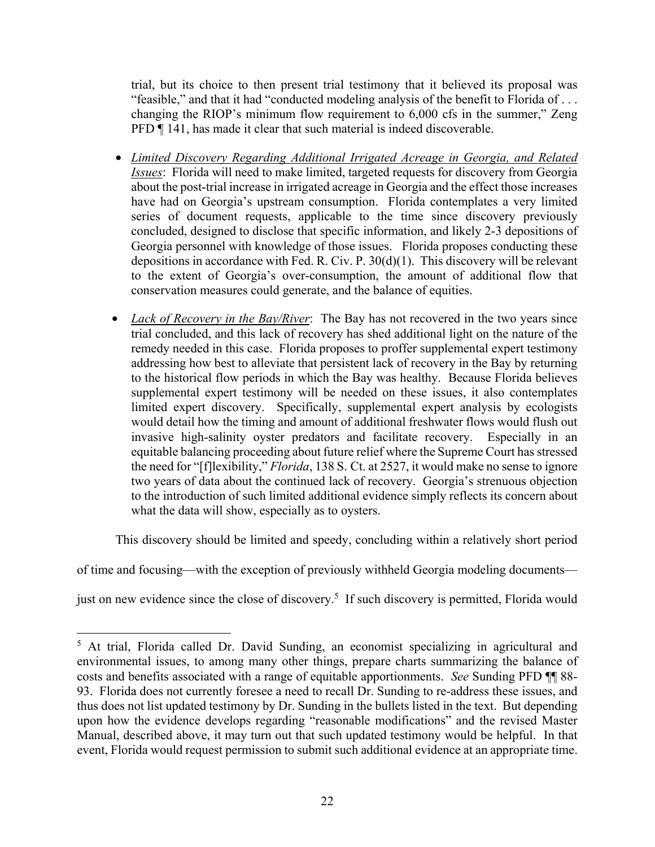trial, but its choice to then present trial testimony that it believed its proposal was "feasible," and that it had "conducted modeling analysis of the benefit to Florida of . . . changing the RIOP's minimum flow requirement to 6,000 cfs in the summer," Zeng PFD ¶ 141, has made it clear that such material is indeed discoverable.

- *Limited Discovery Regarding Additional Irrigated Acreage in Georgia, and Related Issues*: Florida will need to make limited, targeted requests for discovery from Georgia about the post-trial increase in irrigated acreage in Georgia and the effect those increases have had on Georgia's upstream consumption. Florida contemplates a very limited series of document requests, applicable to the time since discovery previously concluded, designed to disclose that specific information, and likely 2-3 depositions of Georgia personnel with knowledge of those issues. Florida proposes conducting these depositions in accordance with Fed. R. Civ. P. 30(d)(1). This discovery will be relevant to the extent of Georgia's over-consumption, the amount of additional flow that conservation measures could generate, and the balance of equities.
- *Lack of Recovery in the Bay/River*: The Bay has not recovered in the two years since trial concluded, and this lack of recovery has shed additional light on the nature of the remedy needed in this case. Florida proposes to proffer supplemental expert testimony addressing how best to alleviate that persistent lack of recovery in the Bay by returning to the historical flow periods in which the Bay was healthy. Because Florida believes supplemental expert testimony will be needed on these issues, it also contemplates limited expert discovery. Specifically, supplemental expert analysis by ecologists would detail how the timing and amount of additional freshwater flows would flush out invasive high-salinity oyster predators and facilitate recovery. Especially in an equitable balancing proceeding about future relief where the Supreme Court has stressed the need for "[f]lexibility," *Florida*, 138 S. Ct. at 2527, it would make no sense to ignore two years of data about the continued lack of recovery. Georgia's strenuous objection to the introduction of such limited additional evidence simply reflects its concern about what the data will show, especially as to oysters.

This discovery should be limited and speedy, concluding within a relatively short period

of time and focusing—with the exception of previously withheld Georgia modeling documents—

just on new evidence since the close of discovery.<sup>5</sup> If such discovery is permitted, Florida would

 $\overline{a}$ 

<sup>&</sup>lt;sup>5</sup> At trial, Florida called Dr. David Sunding, an economist specializing in agricultural and environmental issues, to among many other things, prepare charts summarizing the balance of costs and benefits associated with a range of equitable apportionments. *See* Sunding PFD ¶¶ 88- 93. Florida does not currently foresee a need to recall Dr. Sunding to re-address these issues, and thus does not list updated testimony by Dr. Sunding in the bullets listed in the text. But depending upon how the evidence develops regarding "reasonable modifications" and the revised Master Manual, described above, it may turn out that such updated testimony would be helpful. In that event, Florida would request permission to submit such additional evidence at an appropriate time.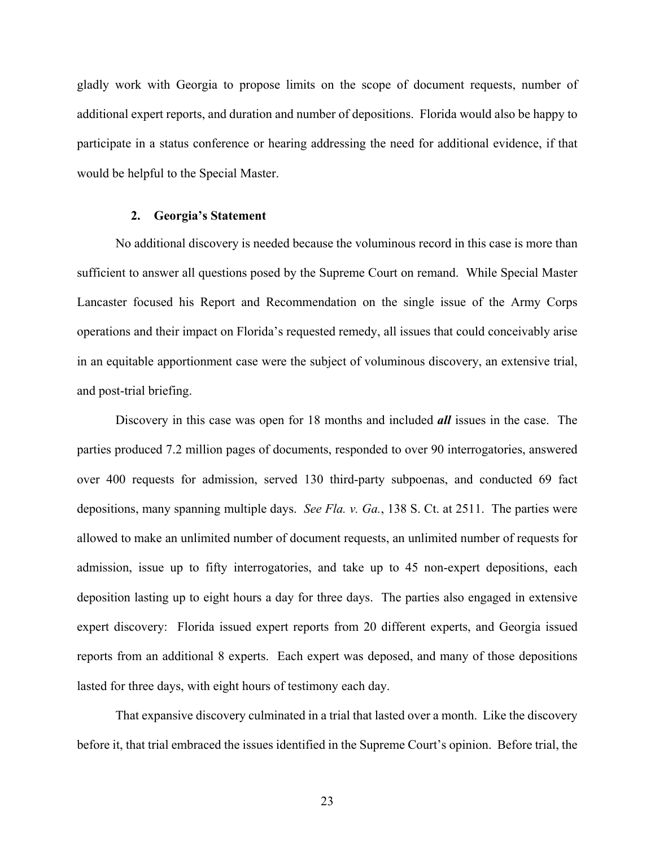gladly work with Georgia to propose limits on the scope of document requests, number of additional expert reports, and duration and number of depositions. Florida would also be happy to participate in a status conference or hearing addressing the need for additional evidence, if that would be helpful to the Special Master.

### **2. Georgia's Statement**

No additional discovery is needed because the voluminous record in this case is more than sufficient to answer all questions posed by the Supreme Court on remand. While Special Master Lancaster focused his Report and Recommendation on the single issue of the Army Corps operations and their impact on Florida's requested remedy, all issues that could conceivably arise in an equitable apportionment case were the subject of voluminous discovery, an extensive trial, and post-trial briefing.

Discovery in this case was open for 18 months and included *all* issues in the case. The parties produced 7.2 million pages of documents, responded to over 90 interrogatories, answered over 400 requests for admission, served 130 third-party subpoenas, and conducted 69 fact depositions, many spanning multiple days. *See Fla. v. Ga.*, 138 S. Ct. at 2511. The parties were allowed to make an unlimited number of document requests, an unlimited number of requests for admission, issue up to fifty interrogatories, and take up to 45 non-expert depositions, each deposition lasting up to eight hours a day for three days. The parties also engaged in extensive expert discovery: Florida issued expert reports from 20 different experts, and Georgia issued reports from an additional 8 experts. Each expert was deposed, and many of those depositions lasted for three days, with eight hours of testimony each day.

That expansive discovery culminated in a trial that lasted over a month. Like the discovery before it, that trial embraced the issues identified in the Supreme Court's opinion. Before trial, the

23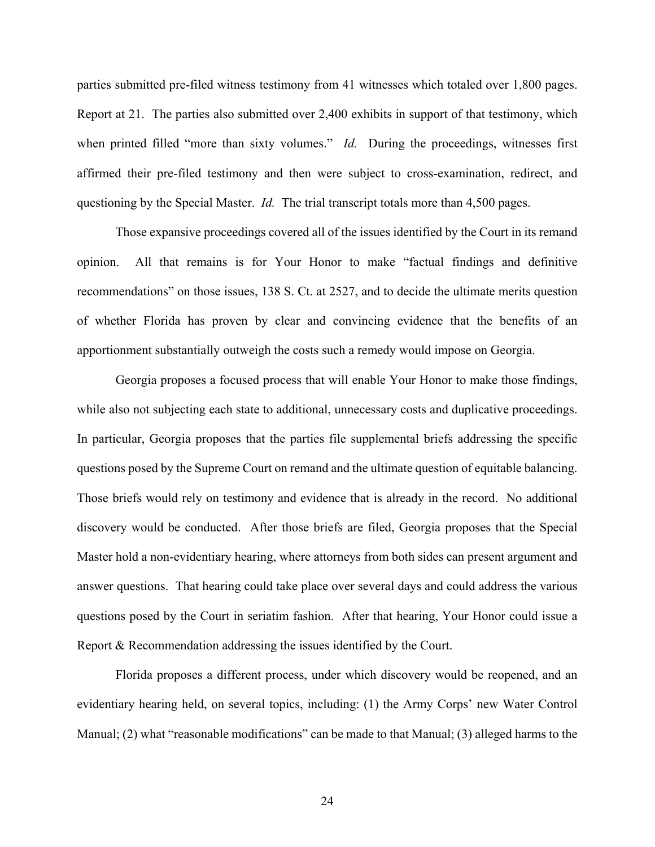parties submitted pre-filed witness testimony from 41 witnesses which totaled over 1,800 pages. Report at 21. The parties also submitted over 2,400 exhibits in support of that testimony, which when printed filled "more than sixty volumes." *Id.* During the proceedings, witnesses first affirmed their pre-filed testimony and then were subject to cross-examination, redirect, and questioning by the Special Master. *Id.* The trial transcript totals more than 4,500 pages.

Those expansive proceedings covered all of the issues identified by the Court in its remand opinion. All that remains is for Your Honor to make "factual findings and definitive recommendations" on those issues, 138 S. Ct. at 2527, and to decide the ultimate merits question of whether Florida has proven by clear and convincing evidence that the benefits of an apportionment substantially outweigh the costs such a remedy would impose on Georgia.

Georgia proposes a focused process that will enable Your Honor to make those findings, while also not subjecting each state to additional, unnecessary costs and duplicative proceedings. In particular, Georgia proposes that the parties file supplemental briefs addressing the specific questions posed by the Supreme Court on remand and the ultimate question of equitable balancing. Those briefs would rely on testimony and evidence that is already in the record. No additional discovery would be conducted. After those briefs are filed, Georgia proposes that the Special Master hold a non-evidentiary hearing, where attorneys from both sides can present argument and answer questions. That hearing could take place over several days and could address the various questions posed by the Court in seriatim fashion. After that hearing, Your Honor could issue a Report & Recommendation addressing the issues identified by the Court.

Florida proposes a different process, under which discovery would be reopened, and an evidentiary hearing held, on several topics, including: (1) the Army Corps' new Water Control Manual; (2) what "reasonable modifications" can be made to that Manual; (3) alleged harms to the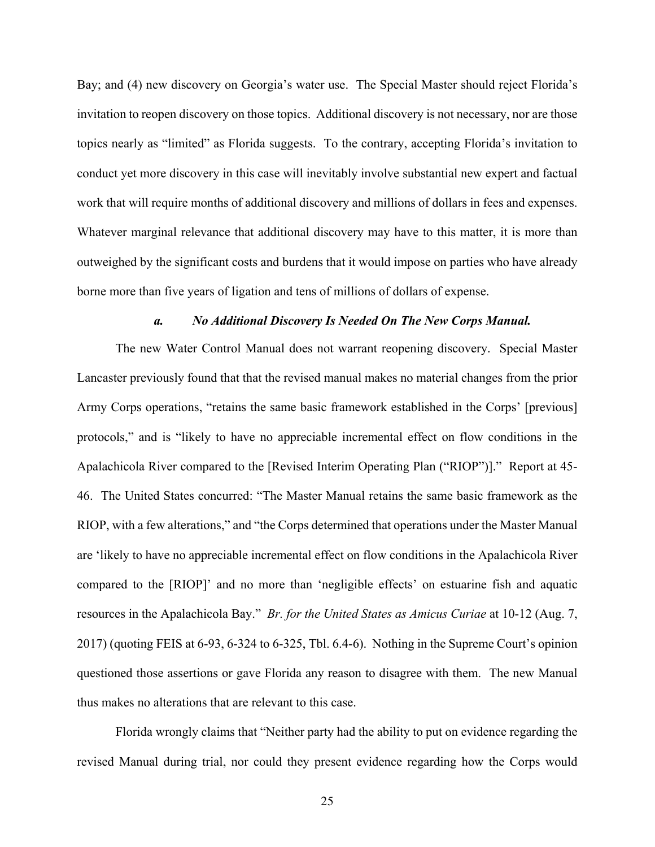Bay; and (4) new discovery on Georgia's water use. The Special Master should reject Florida's invitation to reopen discovery on those topics. Additional discovery is not necessary, nor are those topics nearly as "limited" as Florida suggests. To the contrary, accepting Florida's invitation to conduct yet more discovery in this case will inevitably involve substantial new expert and factual work that will require months of additional discovery and millions of dollars in fees and expenses. Whatever marginal relevance that additional discovery may have to this matter, it is more than outweighed by the significant costs and burdens that it would impose on parties who have already borne more than five years of ligation and tens of millions of dollars of expense.

#### *a. No Additional Discovery Is Needed On The New Corps Manual.*

The new Water Control Manual does not warrant reopening discovery. Special Master Lancaster previously found that that the revised manual makes no material changes from the prior Army Corps operations, "retains the same basic framework established in the Corps' [previous] protocols," and is "likely to have no appreciable incremental effect on flow conditions in the Apalachicola River compared to the [Revised Interim Operating Plan ("RIOP")]." Report at 45- 46. The United States concurred: "The Master Manual retains the same basic framework as the RIOP, with a few alterations," and "the Corps determined that operations under the Master Manual are 'likely to have no appreciable incremental effect on flow conditions in the Apalachicola River compared to the [RIOP]' and no more than 'negligible effects' on estuarine fish and aquatic resources in the Apalachicola Bay." *Br. for the United States as Amicus Curiae* at 10-12 (Aug. 7, 2017) (quoting FEIS at 6-93, 6-324 to 6-325, Tbl. 6.4-6). Nothing in the Supreme Court's opinion questioned those assertions or gave Florida any reason to disagree with them. The new Manual thus makes no alterations that are relevant to this case.

Florida wrongly claims that "Neither party had the ability to put on evidence regarding the revised Manual during trial, nor could they present evidence regarding how the Corps would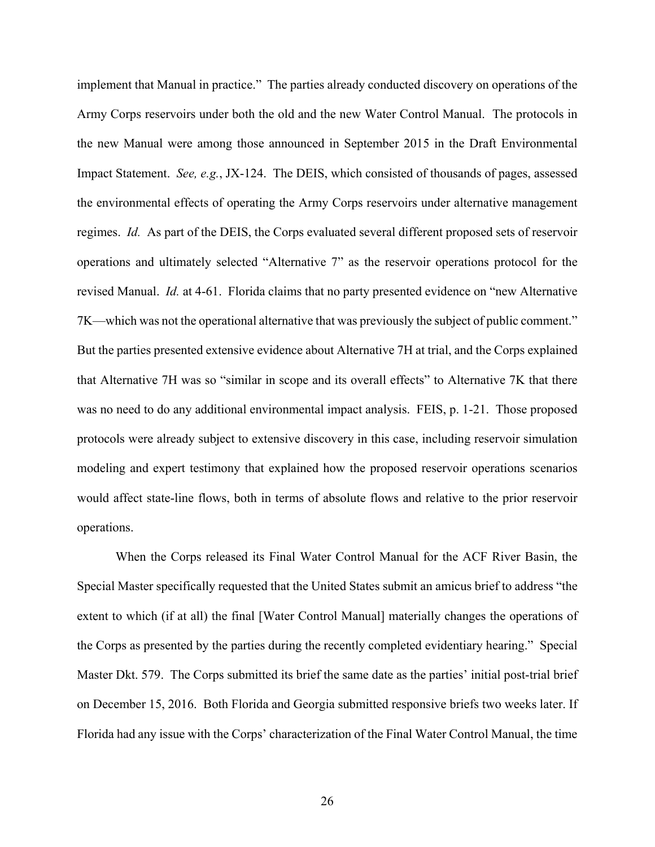implement that Manual in practice." The parties already conducted discovery on operations of the Army Corps reservoirs under both the old and the new Water Control Manual. The protocols in the new Manual were among those announced in September 2015 in the Draft Environmental Impact Statement. *See, e.g.*, JX-124. The DEIS, which consisted of thousands of pages, assessed the environmental effects of operating the Army Corps reservoirs under alternative management regimes. *Id.* As part of the DEIS, the Corps evaluated several different proposed sets of reservoir operations and ultimately selected "Alternative 7" as the reservoir operations protocol for the revised Manual. *Id.* at 4-61. Florida claims that no party presented evidence on "new Alternative 7K—which was not the operational alternative that was previously the subject of public comment." But the parties presented extensive evidence about Alternative 7H at trial, and the Corps explained that Alternative 7H was so "similar in scope and its overall effects" to Alternative 7K that there was no need to do any additional environmental impact analysis. FEIS, p. 1-21. Those proposed protocols were already subject to extensive discovery in this case, including reservoir simulation modeling and expert testimony that explained how the proposed reservoir operations scenarios would affect state-line flows, both in terms of absolute flows and relative to the prior reservoir operations.

When the Corps released its Final Water Control Manual for the ACF River Basin, the Special Master specifically requested that the United States submit an amicus brief to address "the extent to which (if at all) the final [Water Control Manual] materially changes the operations of the Corps as presented by the parties during the recently completed evidentiary hearing." Special Master Dkt. 579. The Corps submitted its brief the same date as the parties' initial post-trial brief on December 15, 2016. Both Florida and Georgia submitted responsive briefs two weeks later. If Florida had any issue with the Corps' characterization of the Final Water Control Manual, the time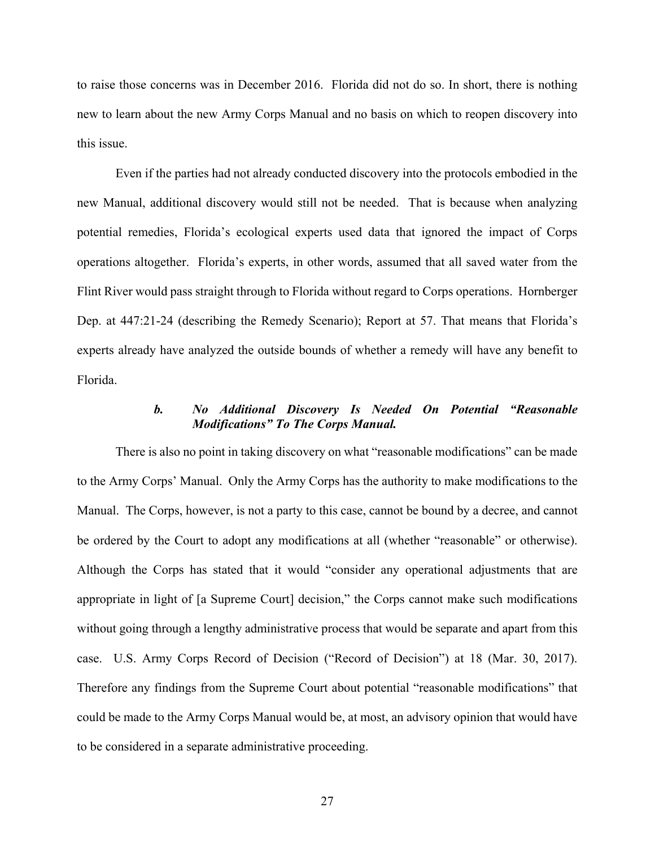to raise those concerns was in December 2016. Florida did not do so. In short, there is nothing new to learn about the new Army Corps Manual and no basis on which to reopen discovery into this issue.

Even if the parties had not already conducted discovery into the protocols embodied in the new Manual, additional discovery would still not be needed. That is because when analyzing potential remedies, Florida's ecological experts used data that ignored the impact of Corps operations altogether. Florida's experts, in other words, assumed that all saved water from the Flint River would pass straight through to Florida without regard to Corps operations. Hornberger Dep. at 447:21-24 (describing the Remedy Scenario); Report at 57. That means that Florida's experts already have analyzed the outside bounds of whether a remedy will have any benefit to Florida.

# *b. No Additional Discovery Is Needed On Potential "Reasonable Modifications" To The Corps Manual.*

There is also no point in taking discovery on what "reasonable modifications" can be made to the Army Corps' Manual. Only the Army Corps has the authority to make modifications to the Manual. The Corps, however, is not a party to this case, cannot be bound by a decree, and cannot be ordered by the Court to adopt any modifications at all (whether "reasonable" or otherwise). Although the Corps has stated that it would "consider any operational adjustments that are appropriate in light of [a Supreme Court] decision," the Corps cannot make such modifications without going through a lengthy administrative process that would be separate and apart from this case. U.S. Army Corps Record of Decision ("Record of Decision") at 18 (Mar. 30, 2017). Therefore any findings from the Supreme Court about potential "reasonable modifications" that could be made to the Army Corps Manual would be, at most, an advisory opinion that would have to be considered in a separate administrative proceeding.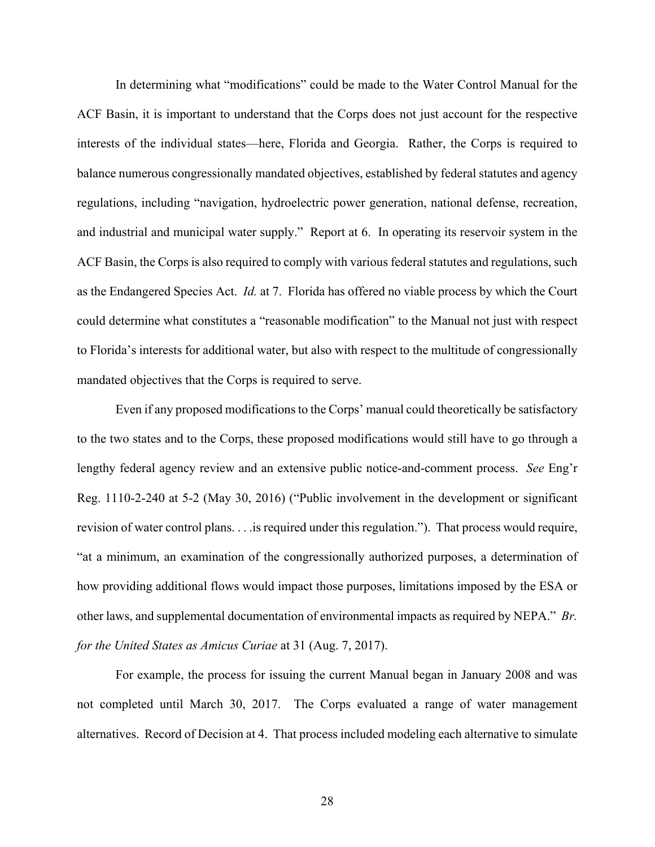In determining what "modifications" could be made to the Water Control Manual for the ACF Basin, it is important to understand that the Corps does not just account for the respective interests of the individual states—here, Florida and Georgia. Rather, the Corps is required to balance numerous congressionally mandated objectives, established by federal statutes and agency regulations, including "navigation, hydroelectric power generation, national defense, recreation, and industrial and municipal water supply." Report at 6. In operating its reservoir system in the ACF Basin, the Corps is also required to comply with various federal statutes and regulations, such as the Endangered Species Act. *Id.* at 7. Florida has offered no viable process by which the Court could determine what constitutes a "reasonable modification" to the Manual not just with respect to Florida's interests for additional water, but also with respect to the multitude of congressionally mandated objectives that the Corps is required to serve.

Even if any proposed modifications to the Corps' manual could theoretically be satisfactory to the two states and to the Corps, these proposed modifications would still have to go through a lengthy federal agency review and an extensive public notice-and-comment process. *See* Eng'r Reg. 1110-2-240 at 5-2 (May 30, 2016) ("Public involvement in the development or significant revision of water control plans. . . .is required under this regulation."). That process would require, "at a minimum, an examination of the congressionally authorized purposes, a determination of how providing additional flows would impact those purposes, limitations imposed by the ESA or other laws, and supplemental documentation of environmental impacts as required by NEPA." *Br. for the United States as Amicus Curiae* at 31 (Aug. 7, 2017).

For example, the process for issuing the current Manual began in January 2008 and was not completed until March 30, 2017. The Corps evaluated a range of water management alternatives. Record of Decision at 4. That process included modeling each alternative to simulate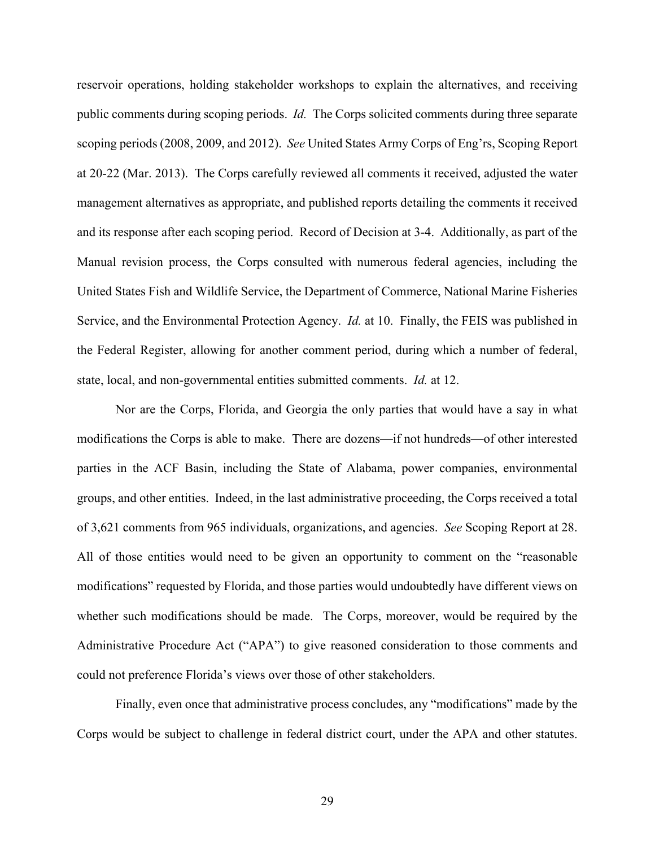reservoir operations, holding stakeholder workshops to explain the alternatives, and receiving public comments during scoping periods. *Id.* The Corps solicited comments during three separate scoping periods (2008, 2009, and 2012). *See* United States Army Corps of Eng'rs, Scoping Report at 20-22 (Mar. 2013). The Corps carefully reviewed all comments it received, adjusted the water management alternatives as appropriate, and published reports detailing the comments it received and its response after each scoping period. Record of Decision at 3-4. Additionally, as part of the Manual revision process, the Corps consulted with numerous federal agencies, including the United States Fish and Wildlife Service, the Department of Commerce, National Marine Fisheries Service, and the Environmental Protection Agency. *Id.* at 10. Finally, the FEIS was published in the Federal Register, allowing for another comment period, during which a number of federal, state, local, and non-governmental entities submitted comments. *Id.* at 12.

Nor are the Corps, Florida, and Georgia the only parties that would have a say in what modifications the Corps is able to make. There are dozens—if not hundreds—of other interested parties in the ACF Basin, including the State of Alabama, power companies, environmental groups, and other entities. Indeed, in the last administrative proceeding, the Corps received a total of 3,621 comments from 965 individuals, organizations, and agencies. *See* Scoping Report at 28. All of those entities would need to be given an opportunity to comment on the "reasonable modifications" requested by Florida, and those parties would undoubtedly have different views on whether such modifications should be made. The Corps, moreover, would be required by the Administrative Procedure Act ("APA") to give reasoned consideration to those comments and could not preference Florida's views over those of other stakeholders.

Finally, even once that administrative process concludes, any "modifications" made by the Corps would be subject to challenge in federal district court, under the APA and other statutes.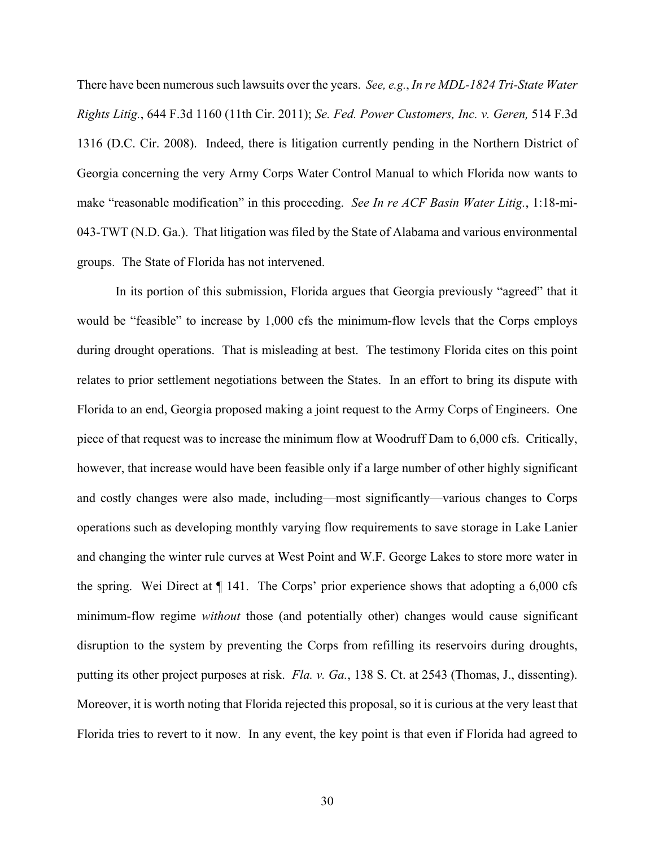There have been numerous such lawsuits over the years. *See, e.g.*, *In re MDL-1824 Tri-State Water Rights Litig.*, 644 F.3d 1160 (11th Cir. 2011); *Se. Fed. Power Customers, Inc. v. Geren,* 514 F.3d 1316 (D.C. Cir. 2008). Indeed, there is litigation currently pending in the Northern District of Georgia concerning the very Army Corps Water Control Manual to which Florida now wants to make "reasonable modification" in this proceeding. *See In re ACF Basin Water Litig.*, 1:18-mi-043-TWT (N.D. Ga.). That litigation was filed by the State of Alabama and various environmental groups. The State of Florida has not intervened.

In its portion of this submission, Florida argues that Georgia previously "agreed" that it would be "feasible" to increase by 1,000 cfs the minimum-flow levels that the Corps employs during drought operations. That is misleading at best. The testimony Florida cites on this point relates to prior settlement negotiations between the States. In an effort to bring its dispute with Florida to an end, Georgia proposed making a joint request to the Army Corps of Engineers. One piece of that request was to increase the minimum flow at Woodruff Dam to 6,000 cfs. Critically, however, that increase would have been feasible only if a large number of other highly significant and costly changes were also made, including—most significantly—various changes to Corps operations such as developing monthly varying flow requirements to save storage in Lake Lanier and changing the winter rule curves at West Point and W.F. George Lakes to store more water in the spring. Wei Direct at ¶ 141. The Corps' prior experience shows that adopting a 6,000 cfs minimum-flow regime *without* those (and potentially other) changes would cause significant disruption to the system by preventing the Corps from refilling its reservoirs during droughts, putting its other project purposes at risk. *Fla. v. Ga.*, 138 S. Ct. at 2543 (Thomas, J., dissenting). Moreover, it is worth noting that Florida rejected this proposal, so it is curious at the very least that Florida tries to revert to it now. In any event, the key point is that even if Florida had agreed to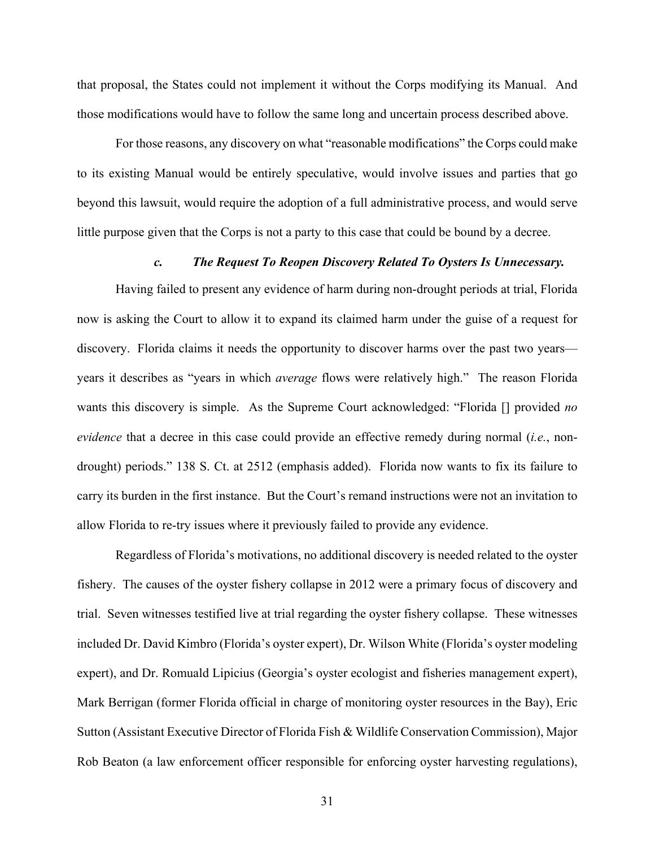that proposal, the States could not implement it without the Corps modifying its Manual. And those modifications would have to follow the same long and uncertain process described above.

For those reasons, any discovery on what "reasonable modifications" the Corps could make to its existing Manual would be entirely speculative, would involve issues and parties that go beyond this lawsuit, would require the adoption of a full administrative process, and would serve little purpose given that the Corps is not a party to this case that could be bound by a decree.

### *c. The Request To Reopen Discovery Related To Oysters Is Unnecessary.*

Having failed to present any evidence of harm during non-drought periods at trial, Florida now is asking the Court to allow it to expand its claimed harm under the guise of a request for discovery. Florida claims it needs the opportunity to discover harms over the past two years years it describes as "years in which *average* flows were relatively high." The reason Florida wants this discovery is simple. As the Supreme Court acknowledged: "Florida [] provided *no evidence* that a decree in this case could provide an effective remedy during normal (*i.e.*, nondrought) periods." 138 S. Ct. at 2512 (emphasis added). Florida now wants to fix its failure to carry its burden in the first instance. But the Court's remand instructions were not an invitation to allow Florida to re-try issues where it previously failed to provide any evidence.

Regardless of Florida's motivations, no additional discovery is needed related to the oyster fishery. The causes of the oyster fishery collapse in 2012 were a primary focus of discovery and trial. Seven witnesses testified live at trial regarding the oyster fishery collapse. These witnesses included Dr. David Kimbro (Florida's oyster expert), Dr. Wilson White (Florida's oyster modeling expert), and Dr. Romuald Lipicius (Georgia's oyster ecologist and fisheries management expert), Mark Berrigan (former Florida official in charge of monitoring oyster resources in the Bay), Eric Sutton (Assistant Executive Director of Florida Fish & Wildlife Conservation Commission), Major Rob Beaton (a law enforcement officer responsible for enforcing oyster harvesting regulations),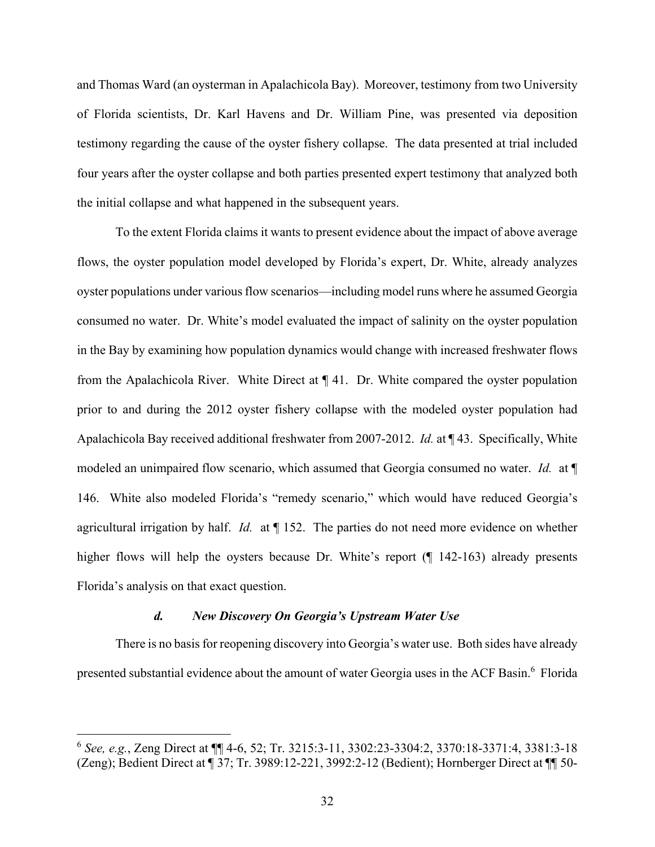and Thomas Ward (an oysterman in Apalachicola Bay). Moreover, testimony from two University of Florida scientists, Dr. Karl Havens and Dr. William Pine, was presented via deposition testimony regarding the cause of the oyster fishery collapse. The data presented at trial included four years after the oyster collapse and both parties presented expert testimony that analyzed both the initial collapse and what happened in the subsequent years.

To the extent Florida claims it wants to present evidence about the impact of above average flows, the oyster population model developed by Florida's expert, Dr. White, already analyzes oyster populations under various flow scenarios—including model runs where he assumed Georgia consumed no water. Dr. White's model evaluated the impact of salinity on the oyster population in the Bay by examining how population dynamics would change with increased freshwater flows from the Apalachicola River. White Direct at ¶ 41. Dr. White compared the oyster population prior to and during the 2012 oyster fishery collapse with the modeled oyster population had Apalachicola Bay received additional freshwater from 2007-2012. *Id.* at ¶ 43. Specifically, White modeled an unimpaired flow scenario, which assumed that Georgia consumed no water. *Id.* at ¶ 146. White also modeled Florida's "remedy scenario," which would have reduced Georgia's agricultural irrigation by half. *Id.* at ¶ 152. The parties do not need more evidence on whether higher flows will help the oysters because Dr. White's report (¶ 142-163) already presents Florida's analysis on that exact question.

#### *d. New Discovery On Georgia's Upstream Water Use*

1

There is no basis for reopening discovery into Georgia's water use. Both sides have already presented substantial evidence about the amount of water Georgia uses in the ACF Basin.<sup>6</sup> Florida

<sup>6</sup> *See, e.g.*, Zeng Direct at ¶¶ 4-6, 52; Tr. 3215:3-11, 3302:23-3304:2, 3370:18-3371:4, 3381:3-18 (Zeng); Bedient Direct at ¶ 37; Tr. 3989:12-221, 3992:2-12 (Bedient); Hornberger Direct at ¶¶ 50-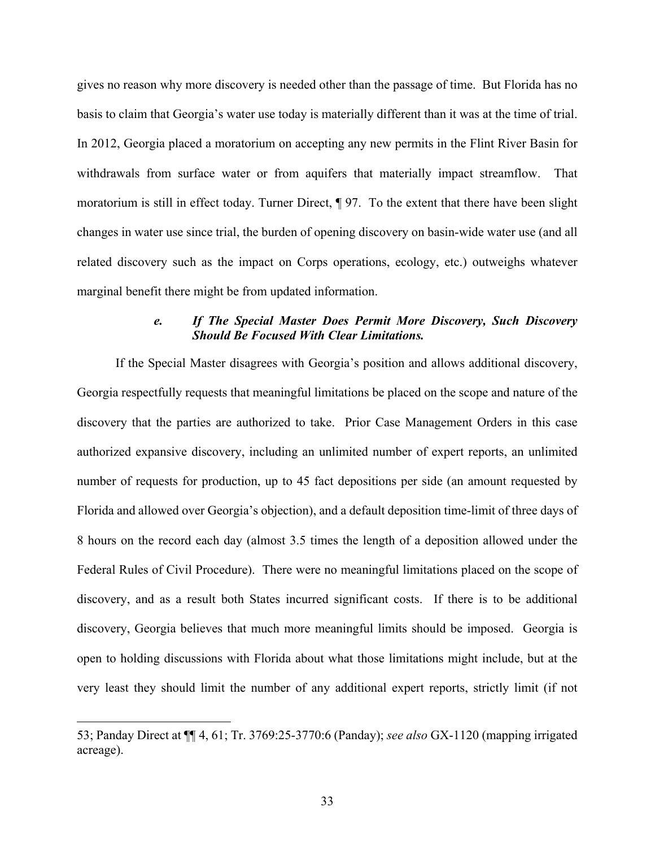gives no reason why more discovery is needed other than the passage of time. But Florida has no basis to claim that Georgia's water use today is materially different than it was at the time of trial. In 2012, Georgia placed a moratorium on accepting any new permits in the Flint River Basin for withdrawals from surface water or from aquifers that materially impact streamflow. That moratorium is still in effect today. Turner Direct, ¶ 97. To the extent that there have been slight changes in water use since trial, the burden of opening discovery on basin-wide water use (and all related discovery such as the impact on Corps operations, ecology, etc.) outweighs whatever marginal benefit there might be from updated information.

## *e. If The Special Master Does Permit More Discovery, Such Discovery Should Be Focused With Clear Limitations.*

If the Special Master disagrees with Georgia's position and allows additional discovery, Georgia respectfully requests that meaningful limitations be placed on the scope and nature of the discovery that the parties are authorized to take. Prior Case Management Orders in this case authorized expansive discovery, including an unlimited number of expert reports, an unlimited number of requests for production, up to 45 fact depositions per side (an amount requested by Florida and allowed over Georgia's objection), and a default deposition time-limit of three days of 8 hours on the record each day (almost 3.5 times the length of a deposition allowed under the Federal Rules of Civil Procedure). There were no meaningful limitations placed on the scope of discovery, and as a result both States incurred significant costs. If there is to be additional discovery, Georgia believes that much more meaningful limits should be imposed. Georgia is open to holding discussions with Florida about what those limitations might include, but at the very least they should limit the number of any additional expert reports, strictly limit (if not

 $\overline{a}$ 

<sup>53;</sup> Panday Direct at ¶¶ 4, 61; Tr. 3769:25-3770:6 (Panday); *see also* GX-1120 (mapping irrigated acreage).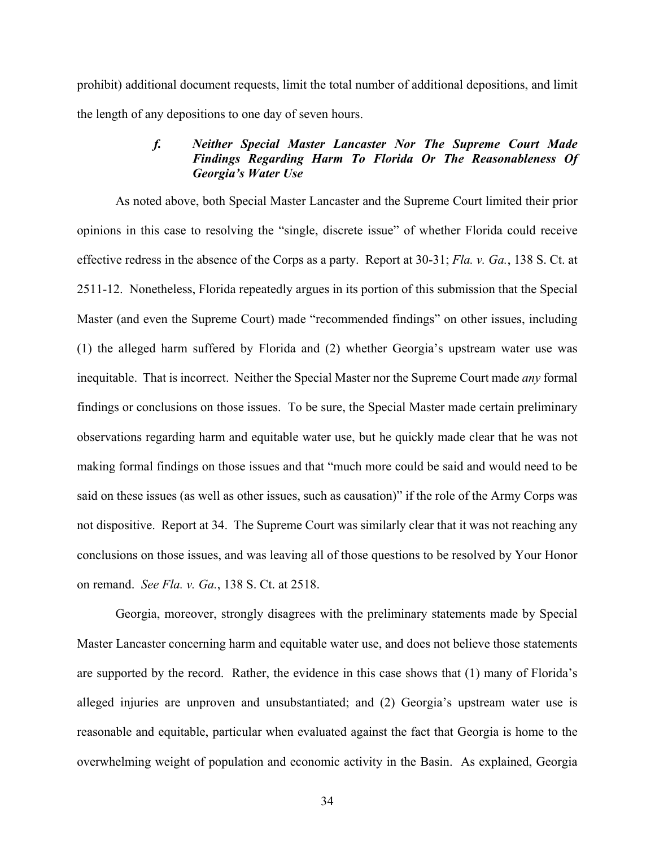prohibit) additional document requests, limit the total number of additional depositions, and limit the length of any depositions to one day of seven hours.

## *f. Neither Special Master Lancaster Nor The Supreme Court Made Findings Regarding Harm To Florida Or The Reasonableness Of Georgia's Water Use*

As noted above, both Special Master Lancaster and the Supreme Court limited their prior opinions in this case to resolving the "single, discrete issue" of whether Florida could receive effective redress in the absence of the Corps as a party. Report at 30-31; *Fla. v. Ga.*, 138 S. Ct. at 2511-12. Nonetheless, Florida repeatedly argues in its portion of this submission that the Special Master (and even the Supreme Court) made "recommended findings" on other issues, including (1) the alleged harm suffered by Florida and (2) whether Georgia's upstream water use was inequitable. That is incorrect. Neither the Special Master nor the Supreme Court made *any* formal findings or conclusions on those issues. To be sure, the Special Master made certain preliminary observations regarding harm and equitable water use, but he quickly made clear that he was not making formal findings on those issues and that "much more could be said and would need to be said on these issues (as well as other issues, such as causation)" if the role of the Army Corps was not dispositive. Report at 34. The Supreme Court was similarly clear that it was not reaching any conclusions on those issues, and was leaving all of those questions to be resolved by Your Honor on remand. *See Fla. v. Ga.*, 138 S. Ct. at 2518.

Georgia, moreover, strongly disagrees with the preliminary statements made by Special Master Lancaster concerning harm and equitable water use, and does not believe those statements are supported by the record. Rather, the evidence in this case shows that (1) many of Florida's alleged injuries are unproven and unsubstantiated; and (2) Georgia's upstream water use is reasonable and equitable, particular when evaluated against the fact that Georgia is home to the overwhelming weight of population and economic activity in the Basin. As explained, Georgia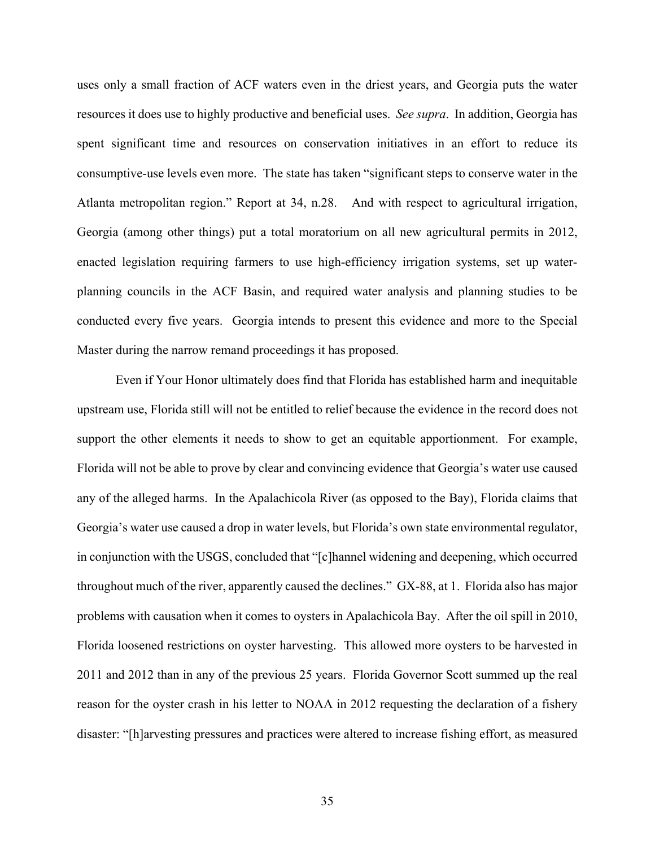uses only a small fraction of ACF waters even in the driest years, and Georgia puts the water resources it does use to highly productive and beneficial uses. *See supra*. In addition, Georgia has spent significant time and resources on conservation initiatives in an effort to reduce its consumptive-use levels even more. The state has taken "significant steps to conserve water in the Atlanta metropolitan region." Report at 34, n.28. And with respect to agricultural irrigation, Georgia (among other things) put a total moratorium on all new agricultural permits in 2012, enacted legislation requiring farmers to use high-efficiency irrigation systems, set up waterplanning councils in the ACF Basin, and required water analysis and planning studies to be conducted every five years. Georgia intends to present this evidence and more to the Special Master during the narrow remand proceedings it has proposed.

Even if Your Honor ultimately does find that Florida has established harm and inequitable upstream use, Florida still will not be entitled to relief because the evidence in the record does not support the other elements it needs to show to get an equitable apportionment. For example, Florida will not be able to prove by clear and convincing evidence that Georgia's water use caused any of the alleged harms. In the Apalachicola River (as opposed to the Bay), Florida claims that Georgia's water use caused a drop in water levels, but Florida's own state environmental regulator, in conjunction with the USGS, concluded that "[c]hannel widening and deepening, which occurred throughout much of the river, apparently caused the declines." GX-88, at 1. Florida also has major problems with causation when it comes to oysters in Apalachicola Bay. After the oil spill in 2010, Florida loosened restrictions on oyster harvesting. This allowed more oysters to be harvested in 2011 and 2012 than in any of the previous 25 years. Florida Governor Scott summed up the real reason for the oyster crash in his letter to NOAA in 2012 requesting the declaration of a fishery disaster: "[h]arvesting pressures and practices were altered to increase fishing effort, as measured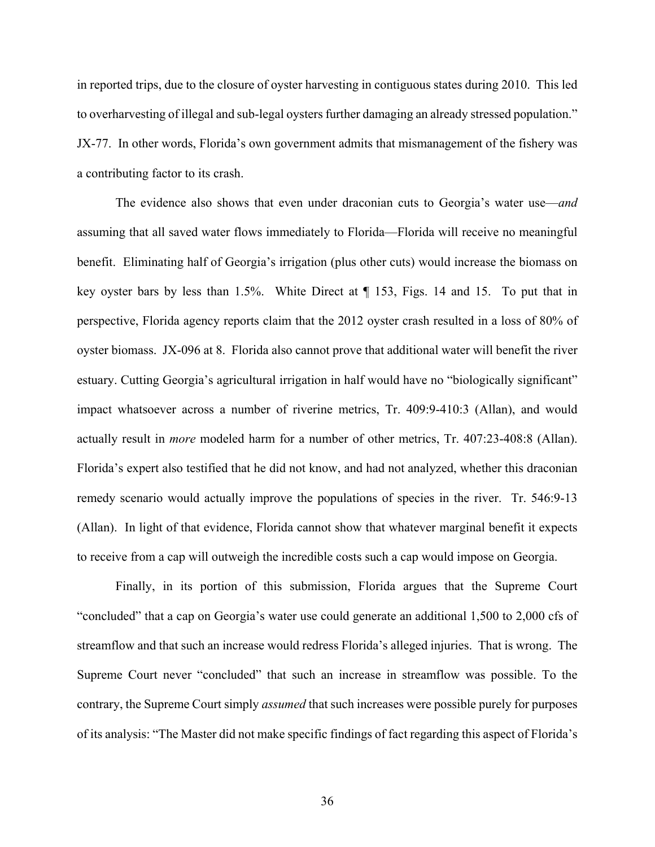in reported trips, due to the closure of oyster harvesting in contiguous states during 2010. This led to overharvesting of illegal and sub-legal oysters further damaging an already stressed population." JX-77. In other words, Florida's own government admits that mismanagement of the fishery was a contributing factor to its crash.

The evidence also shows that even under draconian cuts to Georgia's water use—*and* assuming that all saved water flows immediately to Florida—Florida will receive no meaningful benefit. Eliminating half of Georgia's irrigation (plus other cuts) would increase the biomass on key oyster bars by less than 1.5%. White Direct at ¶ 153, Figs. 14 and 15. To put that in perspective, Florida agency reports claim that the 2012 oyster crash resulted in a loss of 80% of oyster biomass. JX-096 at 8. Florida also cannot prove that additional water will benefit the river estuary. Cutting Georgia's agricultural irrigation in half would have no "biologically significant" impact whatsoever across a number of riverine metrics, Tr. 409:9-410:3 (Allan), and would actually result in *more* modeled harm for a number of other metrics, Tr. 407:23-408:8 (Allan). Florida's expert also testified that he did not know, and had not analyzed, whether this draconian remedy scenario would actually improve the populations of species in the river. Tr. 546:9-13 (Allan). In light of that evidence, Florida cannot show that whatever marginal benefit it expects to receive from a cap will outweigh the incredible costs such a cap would impose on Georgia.

Finally, in its portion of this submission, Florida argues that the Supreme Court "concluded" that a cap on Georgia's water use could generate an additional 1,500 to 2,000 cfs of streamflow and that such an increase would redress Florida's alleged injuries. That is wrong. The Supreme Court never "concluded" that such an increase in streamflow was possible. To the contrary, the Supreme Court simply *assumed* that such increases were possible purely for purposes of its analysis: "The Master did not make specific findings of fact regarding this aspect of Florida's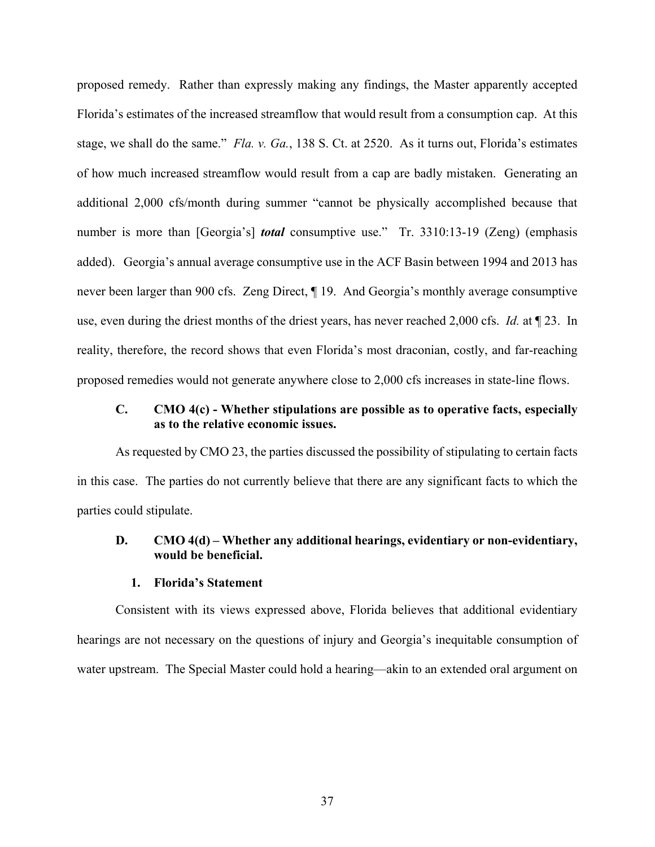proposed remedy. Rather than expressly making any findings, the Master apparently accepted Florida's estimates of the increased streamflow that would result from a consumption cap. At this stage, we shall do the same." *Fla. v. Ga.*, 138 S. Ct. at 2520. As it turns out, Florida's estimates of how much increased streamflow would result from a cap are badly mistaken. Generating an additional 2,000 cfs/month during summer "cannot be physically accomplished because that number is more than [Georgia's] *total* consumptive use." Tr. 3310:13-19 (Zeng) (emphasis added). Georgia's annual average consumptive use in the ACF Basin between 1994 and 2013 has never been larger than 900 cfs. Zeng Direct, ¶ 19. And Georgia's monthly average consumptive use, even during the driest months of the driest years, has never reached 2,000 cfs. *Id.* at ¶ 23. In reality, therefore, the record shows that even Florida's most draconian, costly, and far-reaching proposed remedies would not generate anywhere close to 2,000 cfs increases in state-line flows.

## **C. CMO 4(c) - Whether stipulations are possible as to operative facts, especially as to the relative economic issues.**

As requested by CMO 23, the parties discussed the possibility of stipulating to certain facts in this case. The parties do not currently believe that there are any significant facts to which the parties could stipulate.

## **D. CMO 4(d) – Whether any additional hearings, evidentiary or non-evidentiary, would be beneficial.**

## **1. Florida's Statement**

Consistent with its views expressed above, Florida believes that additional evidentiary hearings are not necessary on the questions of injury and Georgia's inequitable consumption of water upstream. The Special Master could hold a hearing—akin to an extended oral argument on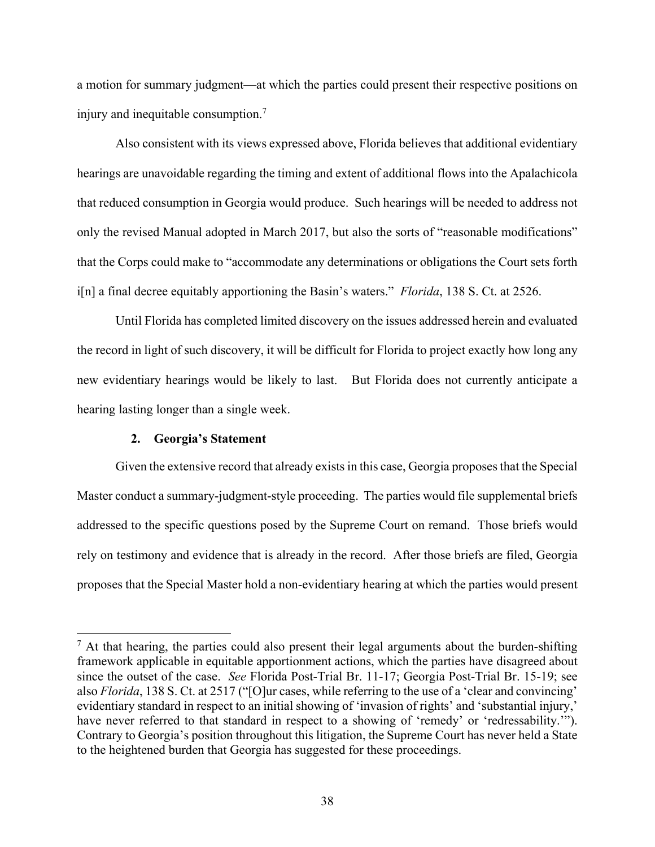a motion for summary judgment—at which the parties could present their respective positions on injury and inequitable consumption.<sup>7</sup>

Also consistent with its views expressed above, Florida believes that additional evidentiary hearings are unavoidable regarding the timing and extent of additional flows into the Apalachicola that reduced consumption in Georgia would produce. Such hearings will be needed to address not only the revised Manual adopted in March 2017, but also the sorts of "reasonable modifications" that the Corps could make to "accommodate any determinations or obligations the Court sets forth i[n] a final decree equitably apportioning the Basin's waters." *Florida*, 138 S. Ct. at 2526.

Until Florida has completed limited discovery on the issues addressed herein and evaluated the record in light of such discovery, it will be difficult for Florida to project exactly how long any new evidentiary hearings would be likely to last. But Florida does not currently anticipate a hearing lasting longer than a single week.

### **2. Georgia's Statement**

1

Given the extensive record that already exists in this case, Georgia proposes that the Special Master conduct a summary-judgment-style proceeding. The parties would file supplemental briefs addressed to the specific questions posed by the Supreme Court on remand. Those briefs would rely on testimony and evidence that is already in the record. After those briefs are filed, Georgia proposes that the Special Master hold a non-evidentiary hearing at which the parties would present

 $<sup>7</sup>$  At that hearing, the parties could also present their legal arguments about the burden-shifting</sup> framework applicable in equitable apportionment actions, which the parties have disagreed about since the outset of the case. *See* Florida Post-Trial Br. 11-17; Georgia Post-Trial Br. 15-19; see also *Florida*, 138 S. Ct. at 2517 ("[O]ur cases, while referring to the use of a 'clear and convincing' evidentiary standard in respect to an initial showing of 'invasion of rights' and 'substantial injury,' have never referred to that standard in respect to a showing of 'remedy' or 'redressability.'"). Contrary to Georgia's position throughout this litigation, the Supreme Court has never held a State to the heightened burden that Georgia has suggested for these proceedings.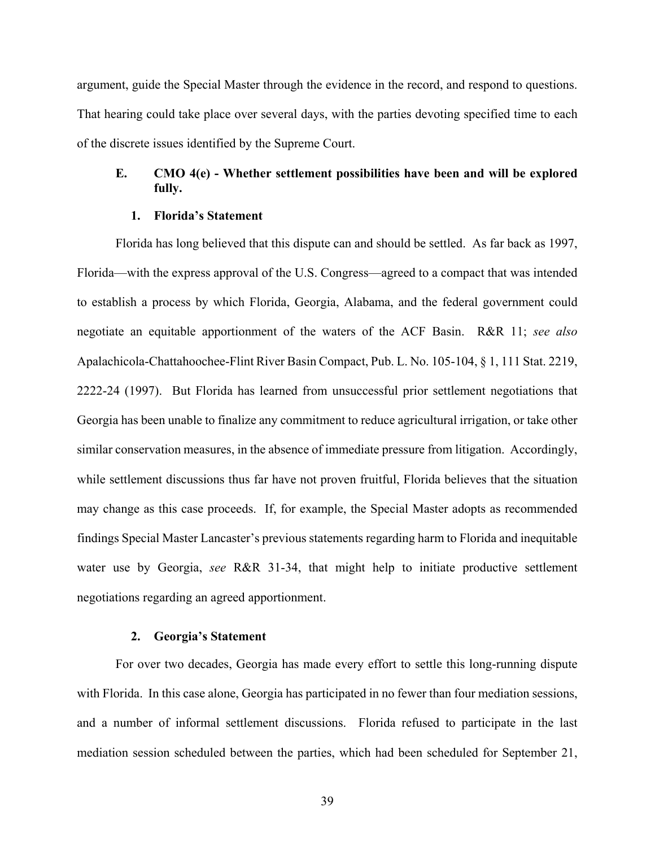argument, guide the Special Master through the evidence in the record, and respond to questions. That hearing could take place over several days, with the parties devoting specified time to each of the discrete issues identified by the Supreme Court.

# **E. CMO 4(e) - Whether settlement possibilities have been and will be explored fully.**

#### **1. Florida's Statement**

Florida has long believed that this dispute can and should be settled. As far back as 1997, Florida—with the express approval of the U.S. Congress—agreed to a compact that was intended to establish a process by which Florida, Georgia, Alabama, and the federal government could negotiate an equitable apportionment of the waters of the ACF Basin. R&R 11; *see also* Apalachicola-Chattahoochee-Flint River Basin Compact, Pub. L. No. 105-104, § 1, 111 Stat. 2219, 2222-24 (1997). But Florida has learned from unsuccessful prior settlement negotiations that Georgia has been unable to finalize any commitment to reduce agricultural irrigation, or take other similar conservation measures, in the absence of immediate pressure from litigation. Accordingly, while settlement discussions thus far have not proven fruitful, Florida believes that the situation may change as this case proceeds. If, for example, the Special Master adopts as recommended findings Special Master Lancaster's previous statements regarding harm to Florida and inequitable water use by Georgia, *see* R&R 31-34, that might help to initiate productive settlement negotiations regarding an agreed apportionment.

### **2. Georgia's Statement**

For over two decades, Georgia has made every effort to settle this long-running dispute with Florida. In this case alone, Georgia has participated in no fewer than four mediation sessions, and a number of informal settlement discussions. Florida refused to participate in the last mediation session scheduled between the parties, which had been scheduled for September 21,

39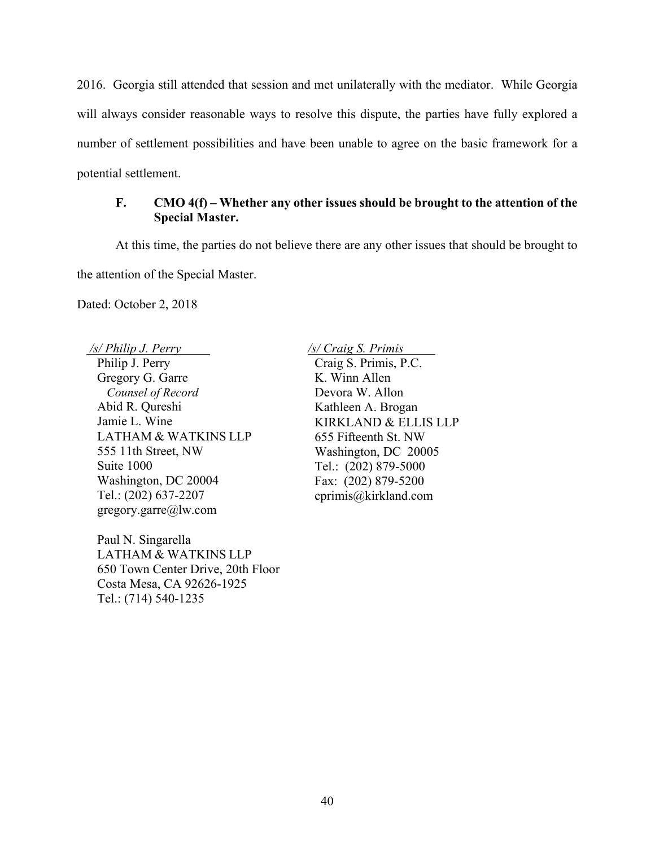2016. Georgia still attended that session and met unilaterally with the mediator. While Georgia will always consider reasonable ways to resolve this dispute, the parties have fully explored a number of settlement possibilities and have been unable to agree on the basic framework for a potential settlement.

# **F. CMO 4(f) – Whether any other issues should be brought to the attention of the Special Master.**

At this time, the parties do not believe there are any other issues that should be brought to the attention of the Special Master.

Dated: October 2, 2018

Philip J. Perry Gregory G. Garre *Counsel of Record* Abid R. Qureshi Jamie L. Wine LATHAM & WATKINS LLP 555 11th Street, NW Suite 1000 Washington, DC 20004 Tel.: (202) 637-2207 gregory.garre@lw.com

Paul N. Singarella LATHAM & WATKINS LLP 650 Town Center Drive, 20th Floor Costa Mesa, CA 92626-1925 Tel.: (714) 540-1235

 */s/ Philip J. Perry /s/ Craig S. Primis I*

Craig S. Primis, P.C. K. Winn Allen Devora W. Allon Kathleen A. Brogan KIRKLAND & ELLIS LLP 655 Fifteenth St. NW Washington, DC 20005 Tel.: (202) 879-5000 Fax: (202) 879-5200 cprimis@kirkland.com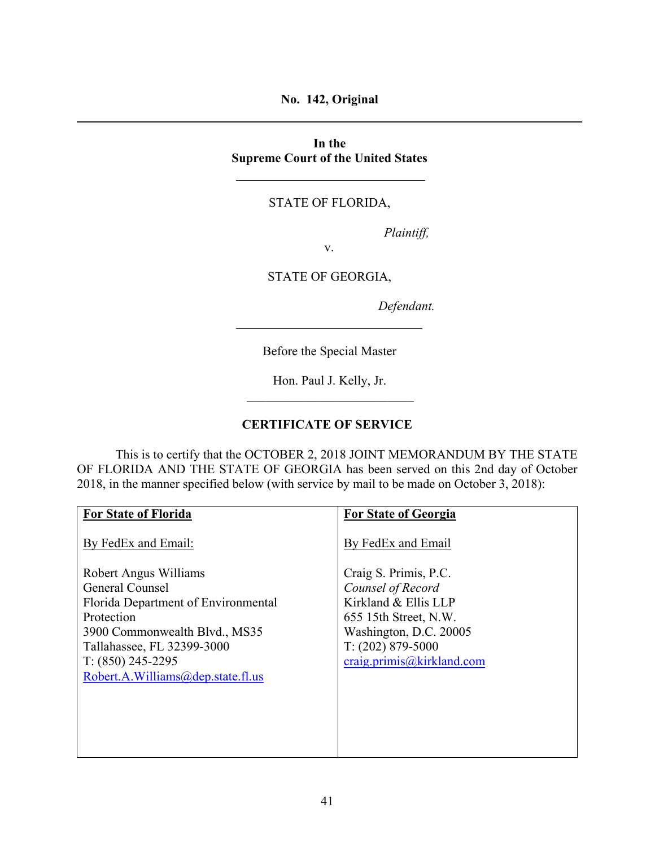**No. 142, Original** 

**In the Supreme Court of the United States** 

# STATE OF FLORIDA,

*Plaintiff,* 

v.

STATE OF GEORGIA,

*Defendant.* 

Before the Special Master

Hon. Paul J. Kelly, Jr.

## **CERTIFICATE OF SERVICE**

 This is to certify that the OCTOBER 2, 2018 JOINT MEMORANDUM BY THE STATE OF FLORIDA AND THE STATE OF GEORGIA has been served on this 2nd day of October 2018, in the manner specified below (with service by mail to be made on October 3, 2018):

| <b>For State of Florida</b>         | <b>For State of Georgia</b> |
|-------------------------------------|-----------------------------|
| By FedEx and Email:                 | By FedEx and Email          |
| Robert Angus Williams               | Craig S. Primis, P.C.       |
| General Counsel                     | Counsel of Record           |
| Florida Department of Environmental | Kirkland & Ellis LLP        |
| Protection                          | 655 15th Street, N.W.       |
| 3900 Commonwealth Blvd., MS35       | Washington, D.C. 20005      |
| Tallahassee, FL 32399-3000          | $T: (202) 879 - 5000$       |
| $T: (850)$ 245-2295                 | craig. primis@kirkland.com  |
| Robert.A.Williams@dep.state.fl.us   |                             |
|                                     |                             |
|                                     |                             |
|                                     |                             |
|                                     |                             |
|                                     |                             |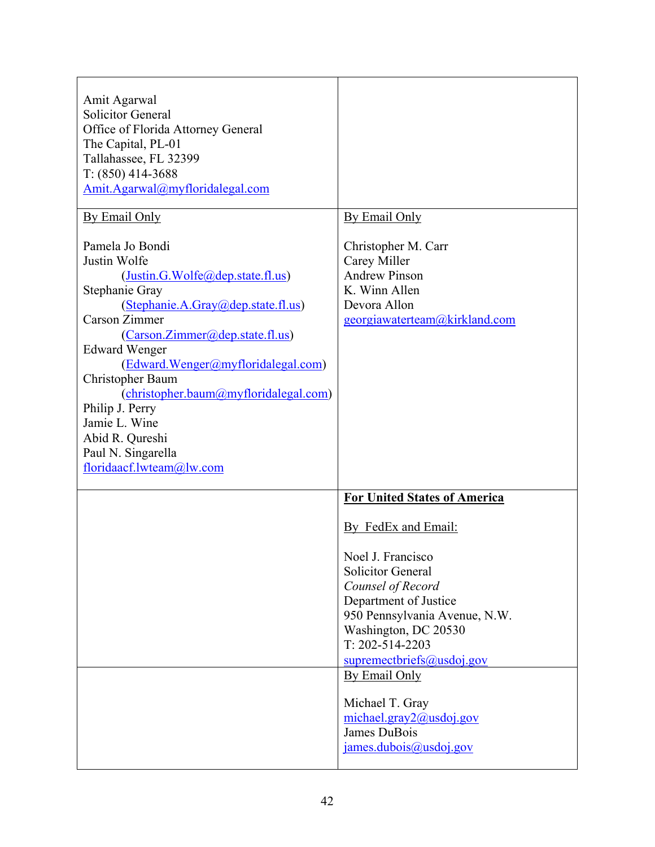| Amit Agarwal<br><b>Solicitor General</b><br>Office of Florida Attorney General<br>The Capital, PL-01<br>Tallahassee, FL 32399<br>$T: (850)$ 414-3688<br>Amit.Agarwal@myfloridalegal.com                                                                                                                                                                                                                             |                                                                                                                                                                                                                                                                                                                              |
|---------------------------------------------------------------------------------------------------------------------------------------------------------------------------------------------------------------------------------------------------------------------------------------------------------------------------------------------------------------------------------------------------------------------|------------------------------------------------------------------------------------------------------------------------------------------------------------------------------------------------------------------------------------------------------------------------------------------------------------------------------|
| By Email Only                                                                                                                                                                                                                                                                                                                                                                                                       | By Email Only                                                                                                                                                                                                                                                                                                                |
| Pamela Jo Bondi<br>Justin Wolfe<br>(Justin.G.Wolfe@dep.state.fl.us)<br>Stephanie Gray<br>(Stephanie.A.Gray@dep.state.fl.us)<br>Carson Zimmer<br>(Carson.Zimmer@dep.state.fl.us)<br><b>Edward Wenger</b><br>(Edward.Wenger@myfloridalegal.com)<br>Christopher Baum<br>(christopher.baum@myfloridalegal.com)<br>Philip J. Perry<br>Jamie L. Wine<br>Abid R. Qureshi<br>Paul N. Singarella<br>floridaacf.lwteam@lw.com | Christopher M. Carr<br>Carey Miller<br><b>Andrew Pinson</b><br>K. Winn Allen<br>Devora Allon<br>georgiawaterteam@kirkland.com                                                                                                                                                                                                |
|                                                                                                                                                                                                                                                                                                                                                                                                                     | <b>For United States of America</b>                                                                                                                                                                                                                                                                                          |
|                                                                                                                                                                                                                                                                                                                                                                                                                     | By FedEx and Email:                                                                                                                                                                                                                                                                                                          |
|                                                                                                                                                                                                                                                                                                                                                                                                                     | Noel J. Francisco<br><b>Solicitor General</b><br>Counsel of Record<br>Department of Justice<br>950 Pennsylvania Avenue, N.W.<br>Washington, DC 20530<br>$T: 202 - 514 - 2203$<br>$supremechriefs(\omega)$ usdoj.gov<br>By Email Only<br>Michael T. Gray<br>michael.gray2@usdoj.gov<br>James DuBois<br>james.dubois@usdoj.gov |